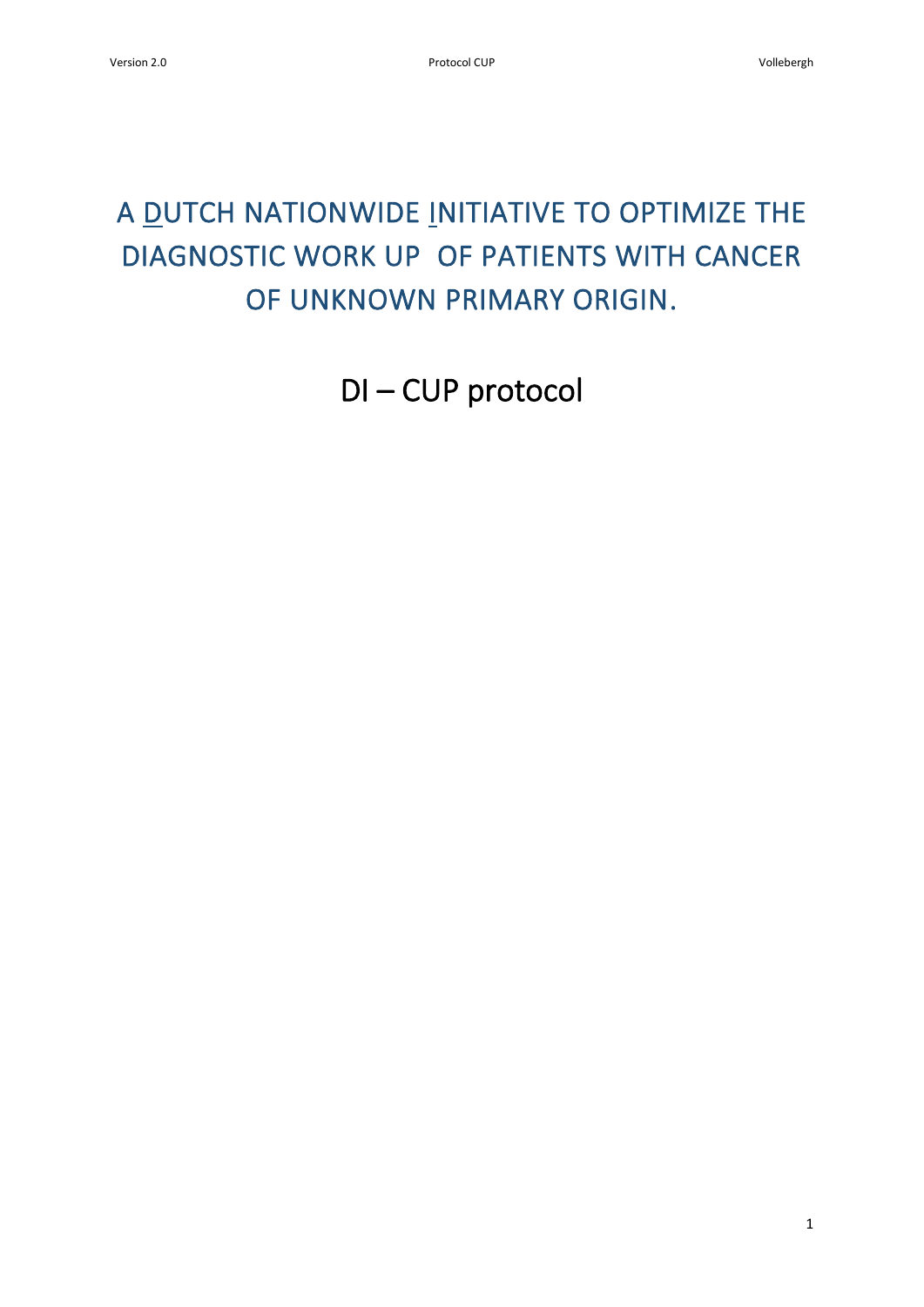# A DUTCH NATIONWIDE INITIATIVE TO OPTIMIZE THE DIAGNOSTIC WORK UP OF PATIENTS WITH CANCER OF UNKNOWN PRIMARY ORIGIN.

DI – CUP protocol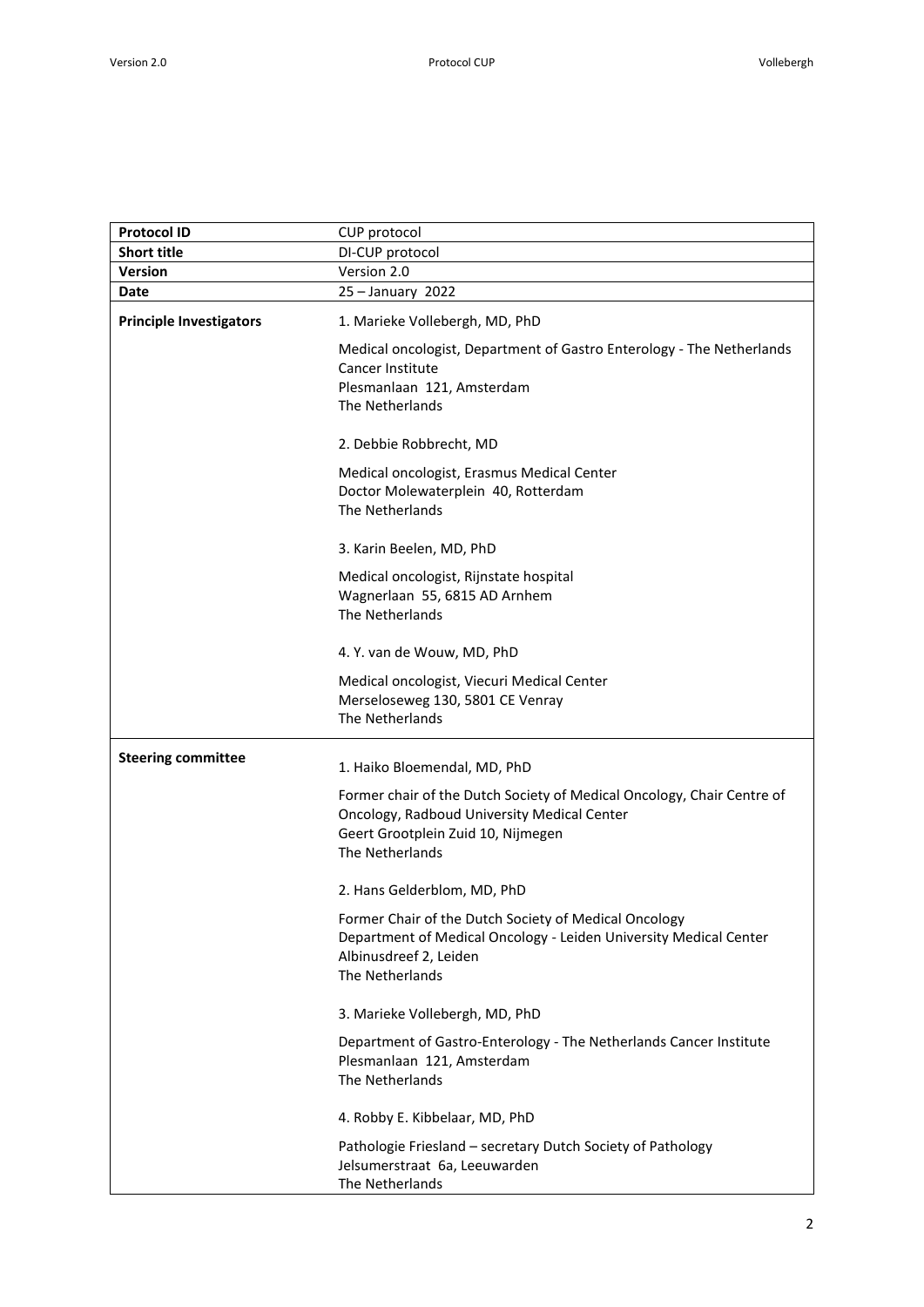| <b>Protocol ID</b>             | CUP protocol                                                                                                                                                                   |  |
|--------------------------------|--------------------------------------------------------------------------------------------------------------------------------------------------------------------------------|--|
| <b>Short title</b>             | DI-CUP protocol                                                                                                                                                                |  |
| Version                        | Version 2.0                                                                                                                                                                    |  |
| Date                           | 25 - January 2022                                                                                                                                                              |  |
| <b>Principle Investigators</b> | 1. Marieke Vollebergh, MD, PhD                                                                                                                                                 |  |
|                                | Medical oncologist, Department of Gastro Enterology - The Netherlands<br><b>Cancer Institute</b><br>Plesmanlaan 121, Amsterdam<br><b>The Netherlands</b>                       |  |
|                                | 2. Debbie Robbrecht, MD                                                                                                                                                        |  |
|                                | Medical oncologist, Erasmus Medical Center<br>Doctor Molewaterplein 40, Rotterdam<br><b>The Netherlands</b>                                                                    |  |
|                                | 3. Karin Beelen, MD, PhD                                                                                                                                                       |  |
|                                | Medical oncologist, Rijnstate hospital<br>Wagnerlaan 55, 6815 AD Arnhem<br>The Netherlands                                                                                     |  |
|                                | 4. Y. van de Wouw, MD, PhD                                                                                                                                                     |  |
|                                | Medical oncologist, Viecuri Medical Center<br>Merseloseweg 130, 5801 CE Venray<br><b>The Netherlands</b>                                                                       |  |
| <b>Steering committee</b>      | 1. Haiko Bloemendal, MD, PhD                                                                                                                                                   |  |
|                                | Former chair of the Dutch Society of Medical Oncology, Chair Centre of<br>Oncology, Radboud University Medical Center<br>Geert Grootplein Zuid 10, Nijmegen<br>The Netherlands |  |
|                                | 2. Hans Gelderblom, MD, PhD                                                                                                                                                    |  |
|                                | Former Chair of the Dutch Society of Medical Oncology<br>Department of Medical Oncology - Leiden University Medical Center<br>Albinusdreef 2, Leiden<br>The Netherlands        |  |
|                                | 3. Marieke Vollebergh, MD, PhD                                                                                                                                                 |  |
|                                | Department of Gastro-Enterology - The Netherlands Cancer Institute<br>Plesmanlaan 121, Amsterdam<br>The Netherlands                                                            |  |
|                                | 4. Robby E. Kibbelaar, MD, PhD                                                                                                                                                 |  |
|                                | Pathologie Friesland - secretary Dutch Society of Pathology<br>Jelsumerstraat 6a, Leeuwarden<br>The Netherlands                                                                |  |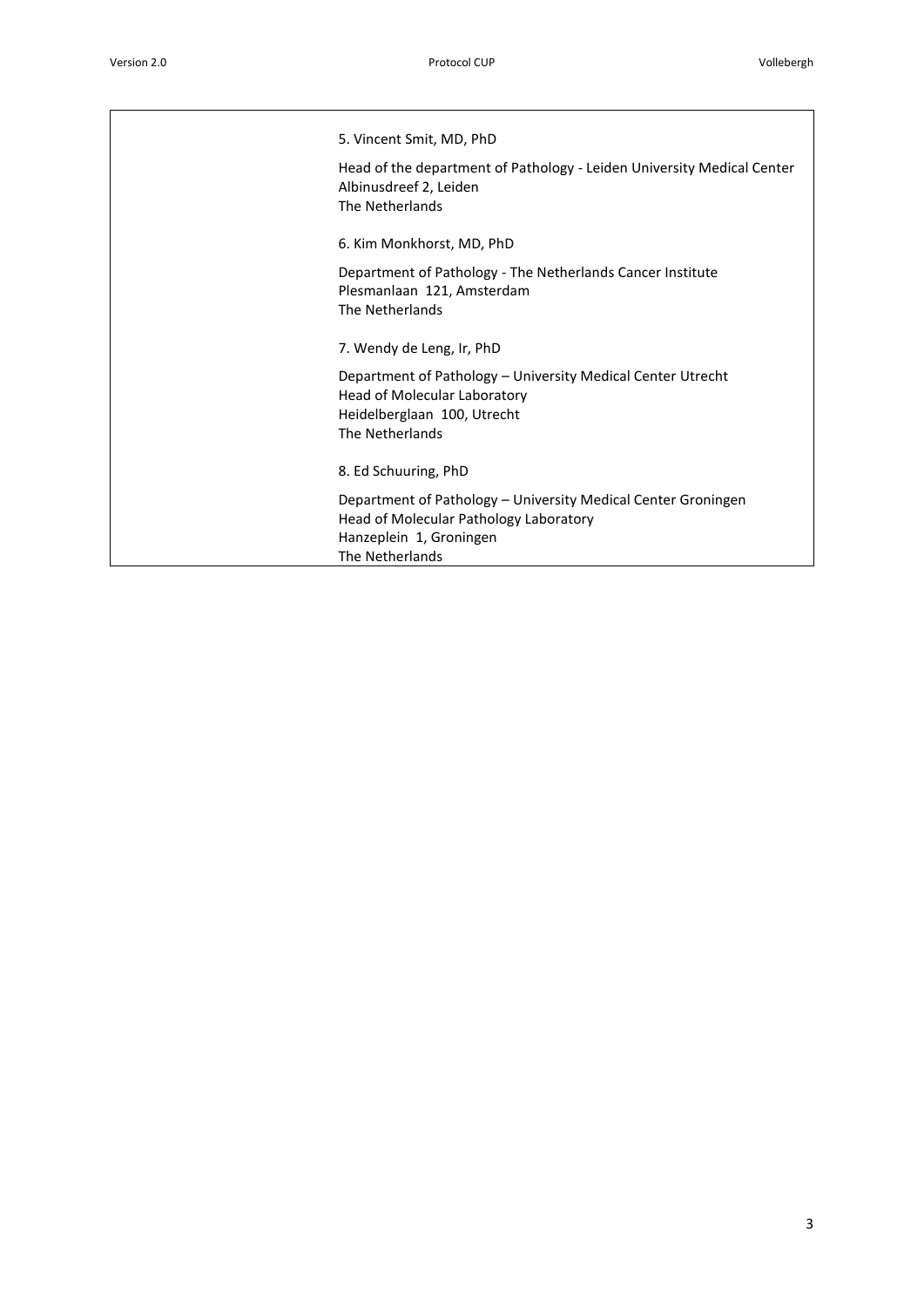| 5. Vincent Smit, MD, PhD                                                                                                                              |
|-------------------------------------------------------------------------------------------------------------------------------------------------------|
| Head of the department of Pathology - Leiden University Medical Center<br>Albinusdreef 2, Leiden<br>The Netherlands                                   |
| 6. Kim Monkhorst, MD, PhD                                                                                                                             |
| Department of Pathology - The Netherlands Cancer Institute<br>Plesmanlaan 121, Amsterdam<br>The Netherlands                                           |
| 7. Wendy de Leng, Ir, PhD                                                                                                                             |
| Department of Pathology - University Medical Center Utrecht<br>Head of Molecular Laboratory<br>Heidelberglaan 100, Utrecht<br>The Netherlands         |
| 8. Ed Schuuring, PhD                                                                                                                                  |
| Department of Pathology - University Medical Center Groningen<br>Head of Molecular Pathology Laboratory<br>Hanzeplein 1, Groningen<br>The Netherlands |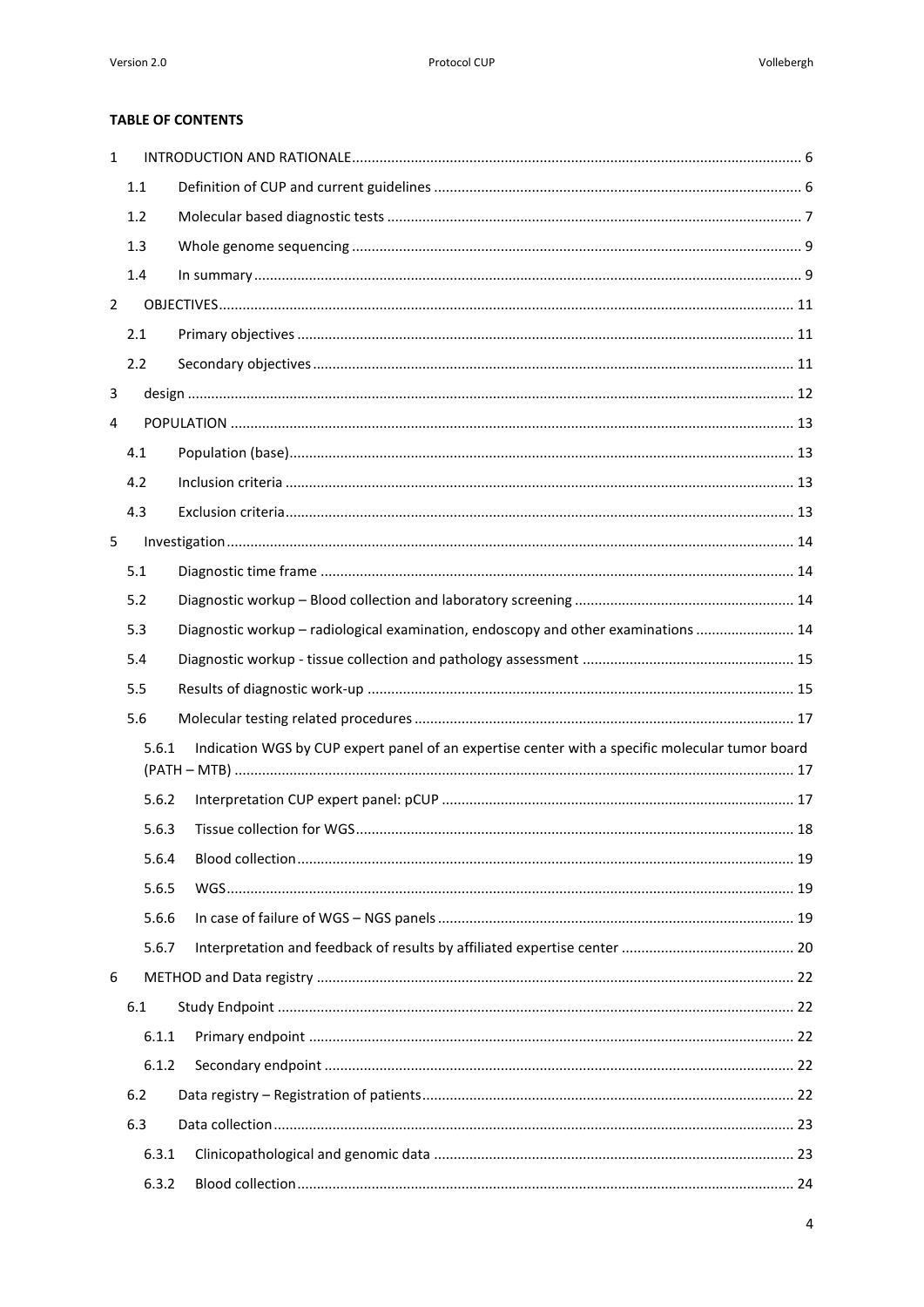## **TABLE OF CONTENTS**

| $\mathbf{1}$   |       |                                                                                                 |  |
|----------------|-------|-------------------------------------------------------------------------------------------------|--|
|                | $1.1$ |                                                                                                 |  |
|                | 1.2   |                                                                                                 |  |
|                | 1.3   |                                                                                                 |  |
|                | 1.4   |                                                                                                 |  |
| $\overline{2}$ |       |                                                                                                 |  |
|                | 2.1   |                                                                                                 |  |
|                | 2.2   |                                                                                                 |  |
| 3              |       |                                                                                                 |  |
| 4              |       |                                                                                                 |  |
|                | 4.1   |                                                                                                 |  |
|                | 4.2   |                                                                                                 |  |
|                | 4.3   |                                                                                                 |  |
| 5              |       |                                                                                                 |  |
|                | 5.1   |                                                                                                 |  |
|                | 5.2   |                                                                                                 |  |
|                | 5.3   | Diagnostic workup - radiological examination, endoscopy and other examinations  14              |  |
|                | 5.4   |                                                                                                 |  |
|                | 5.5   |                                                                                                 |  |
|                | 5.6   |                                                                                                 |  |
|                | 5.6.1 | Indication WGS by CUP expert panel of an expertise center with a specific molecular tumor board |  |
|                | 5.6.2 |                                                                                                 |  |
|                | 5.6.3 |                                                                                                 |  |
|                | 5.6.4 |                                                                                                 |  |
|                | 5.6.5 |                                                                                                 |  |
|                | 5.6.6 |                                                                                                 |  |
|                | 5.6.7 |                                                                                                 |  |
| 6              |       |                                                                                                 |  |
|                | 6.1   |                                                                                                 |  |
|                | 6.1.1 |                                                                                                 |  |
|                | 6.1.2 |                                                                                                 |  |
|                | 6.2   |                                                                                                 |  |
|                | 6.3   |                                                                                                 |  |
|                | 6.3.1 |                                                                                                 |  |
|                | 6.3.2 |                                                                                                 |  |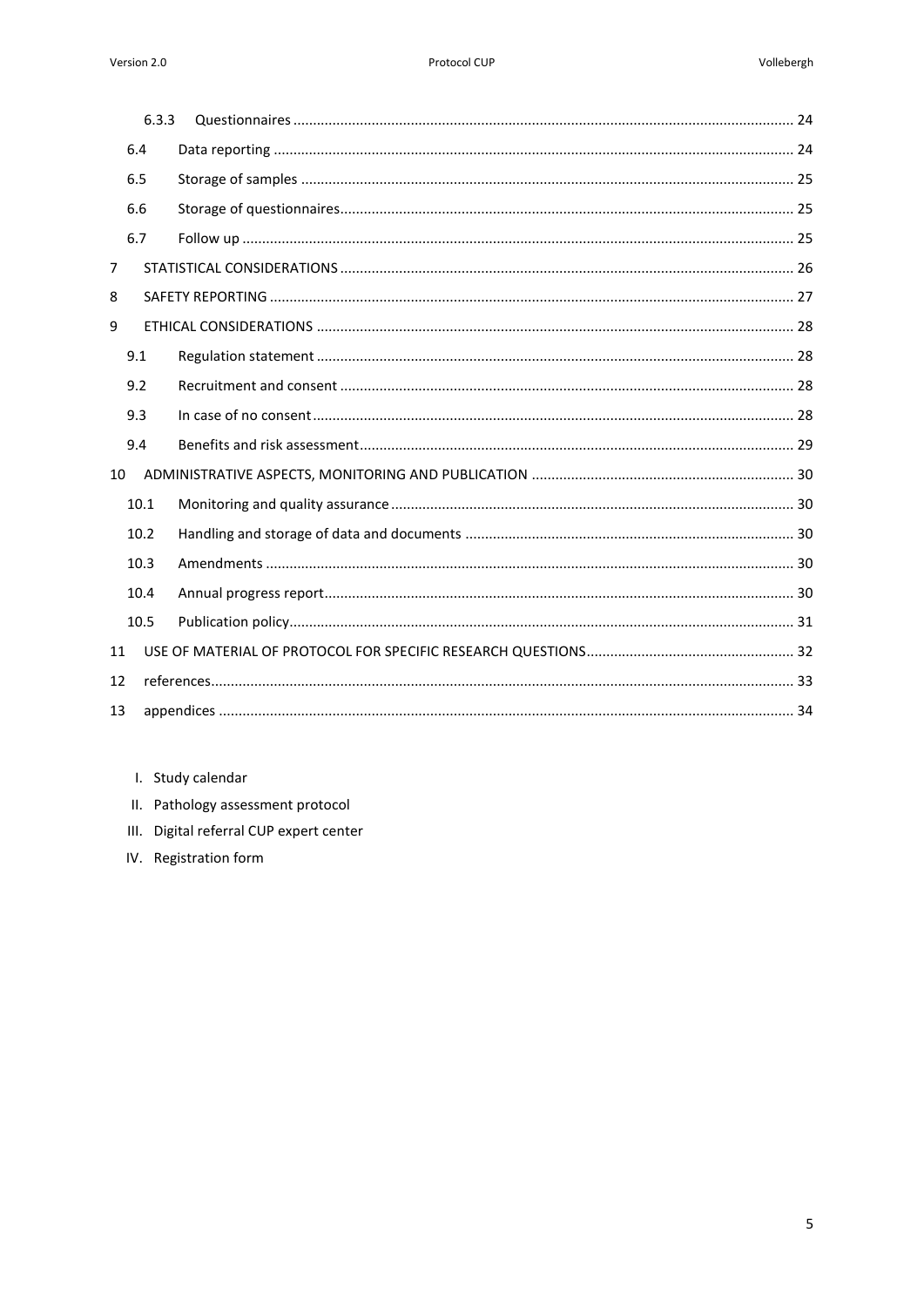|                | 6.3.3 |  |
|----------------|-------|--|
|                | 6.4   |  |
|                | 6.5   |  |
|                | 6.6   |  |
|                | 6.7   |  |
| $\overline{7}$ |       |  |
| 8              |       |  |
| 9              |       |  |
|                | 9.1   |  |
|                | 9.2   |  |
|                | 9.3   |  |
|                | 9.4   |  |
| 10             |       |  |
|                | 10.1  |  |
|                | 10.2  |  |
|                | 10.3  |  |
|                | 10.4  |  |
|                | 10.5  |  |
| 11             |       |  |
| 12             |       |  |
| 13             |       |  |

I. Study calendar

- II. Pathology assessment protocol
- III. Digital referral CUP expert center
- IV. Registration form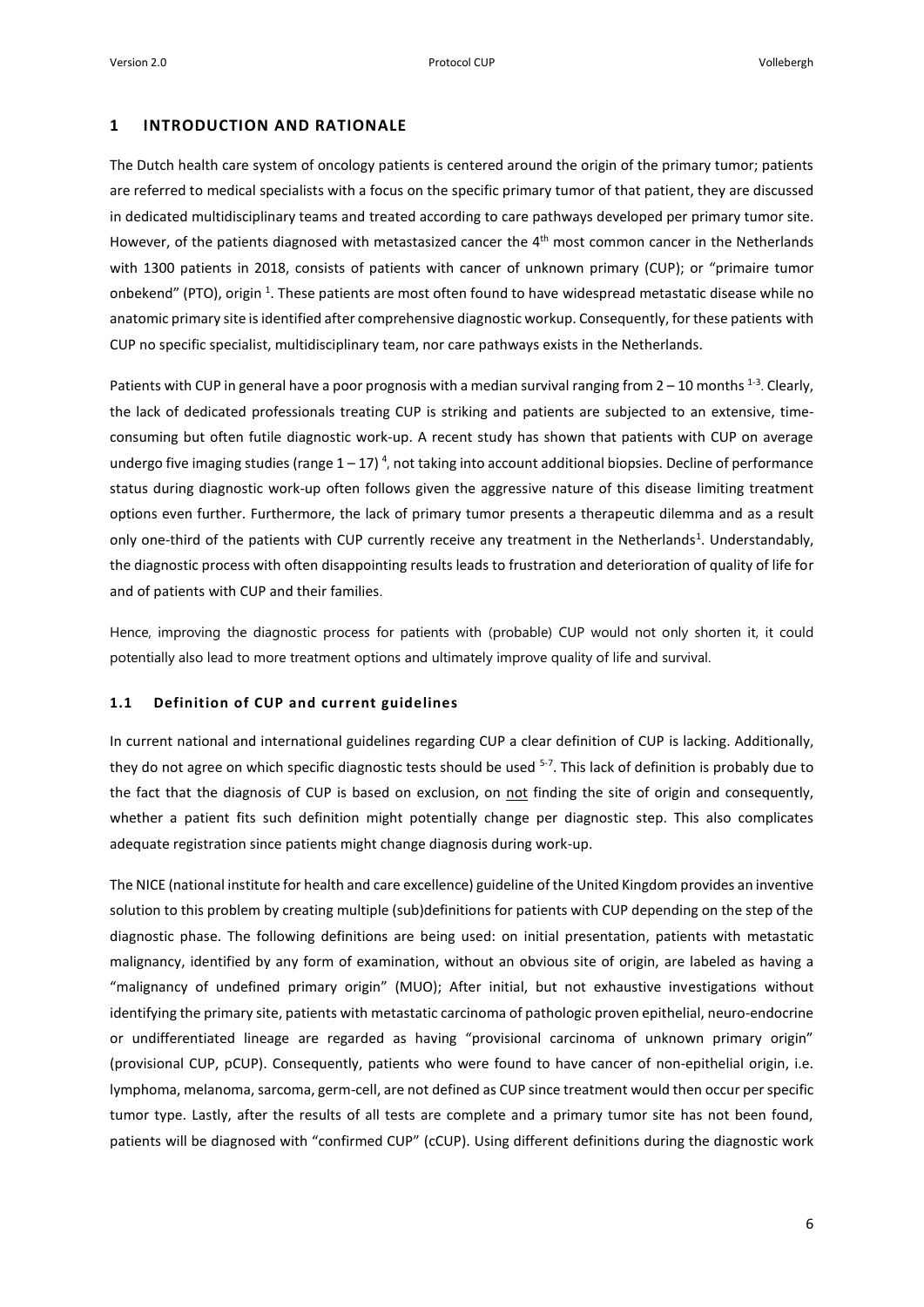#### <span id="page-5-0"></span>**1 INTRODUCTION AND RATIONALE**

The Dutch health care system of oncology patients is centered around the origin of the primary tumor; patients are referred to medical specialists with a focus on the specific primary tumor of that patient, they are discussed in dedicated multidisciplinary teams and treated according to care pathways developed per primary tumor site. However, of the patients diagnosed with metastasized cancer the 4<sup>th</sup> most common cancer in the Netherlands with 1300 patients in 2018, consists of patients with cancer of unknown primary (CUP); or "primaire tumor onbekend" (PTO), origin <sup>1</sup>. These patients are most often found to have widespread metastatic disease while no anatomic primary site is identified after comprehensive diagnostic workup. Consequently, for these patients with CUP no specific specialist, multidisciplinary team, nor care pathways exists in the Netherlands.

Patients with CUP in general have a poor prognosis with a median survival ranging from  $2-10$  months  $^{1-3}$ . Clearly, the lack of dedicated professionals treating CUP is striking and patients are subjected to an extensive, timeconsuming but often futile diagnostic work-up. A recent study has shown that patients with CUP on average undergo five imaging studies (range  $1-17$ )<sup>4</sup>, not taking into account additional biopsies. Decline of performance status during diagnostic work-up often follows given the aggressive nature of this disease limiting treatment options even further. Furthermore, the lack of primary tumor presents a therapeutic dilemma and as a result only one-third of the patients with CUP currently receive any treatment in the Netherlands<sup>1</sup>. Understandably, the diagnostic process with often disappointing results leads to frustration and deterioration of quality of life for and of patients with CUP and their families.

Hence, improving the diagnostic process for patients with (probable) CUP would not only shorten it, it could potentially also lead to more treatment options and ultimately improve quality of life and survival.

#### <span id="page-5-1"></span>**1.1 Definition of CUP and current guidelines**

In current national and international guidelines regarding CUP a clear definition of CUP is lacking. Additionally, they do not agree on which specific diagnostic tests should be used <sup>5-7</sup>. This lack of definition is probably due to the fact that the diagnosis of CUP is based on exclusion, on not finding the site of origin and consequently, whether a patient fits such definition might potentially change per diagnostic step. This also complicates adequate registration since patients might change diagnosis during work-up.

The NICE (national institute for health and care excellence) guideline of the United Kingdom provides an inventive solution to this problem by creating multiple (sub)definitions for patients with CUP depending on the step of the diagnostic phase. The following definitions are being used: on initial presentation, patients with metastatic malignancy, identified by any form of examination, without an obvious site of origin, are labeled as having a "malignancy of undefined primary origin" (MUO); After initial, but not exhaustive investigations without identifying the primary site, patients with metastatic carcinoma of pathologic proven epithelial, neuro-endocrine or undifferentiated lineage are regarded as having "provisional carcinoma of unknown primary origin" (provisional CUP, pCUP). Consequently, patients who were found to have cancer of non-epithelial origin, i.e. lymphoma, melanoma, sarcoma, germ-cell, are not defined as CUP since treatment would then occur per specific tumor type. Lastly, after the results of all tests are complete and a primary tumor site has not been found, patients will be diagnosed with "confirmed CUP" (cCUP). Using different definitions during the diagnostic work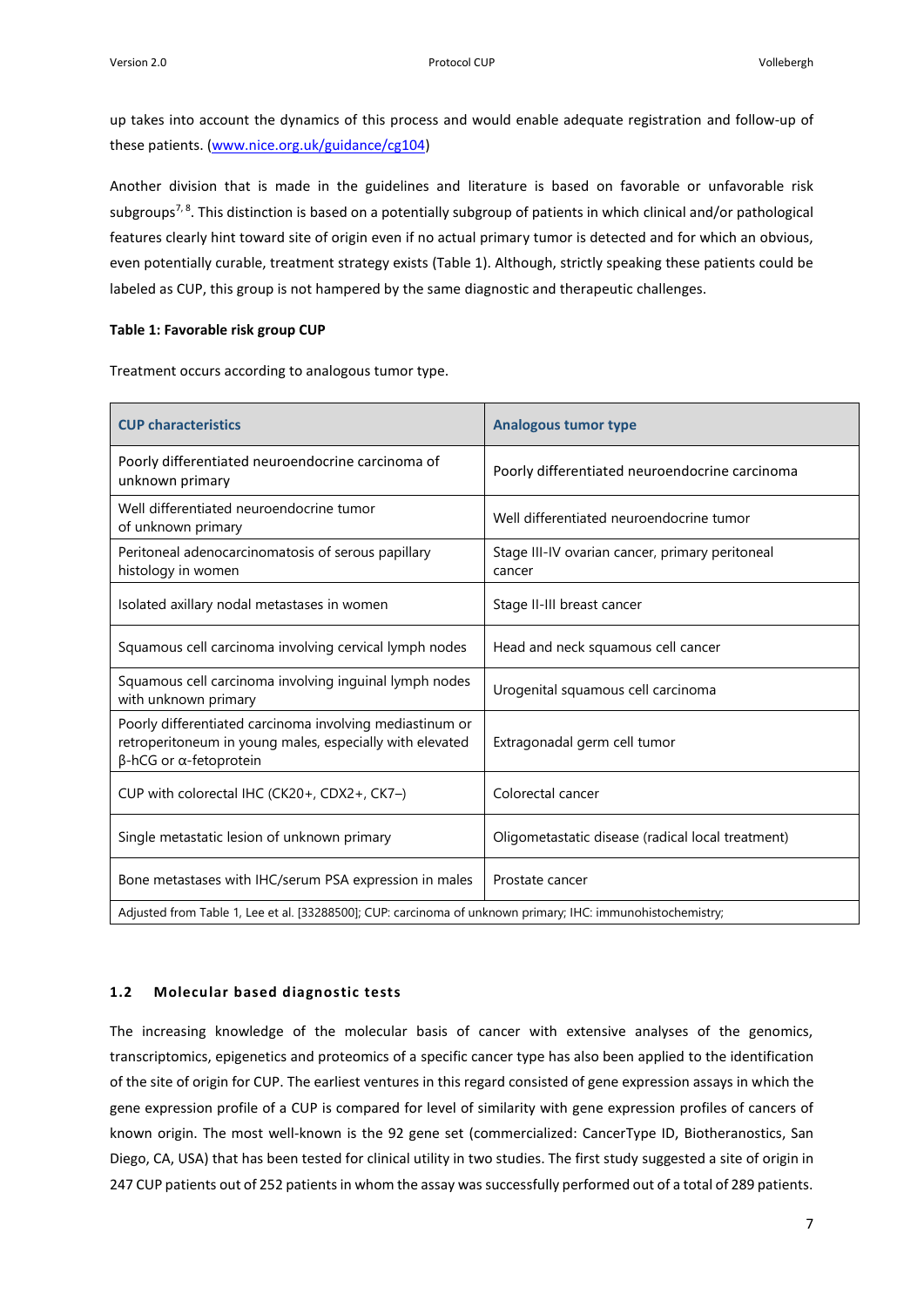up takes into account the dynamics of this process and would enable adequate registration and follow-up of these patients. [\(www.nice.org.uk/guidance/cg104\)](http://www.nice.org.uk/guidance/cg104)

Another division that is made in the guidelines and literature is based on favorable or unfavorable risk subgroups<sup>7, 8</sup>. This distinction is based on a potentially subgroup of patients in which clinical and/or pathological features clearly hint toward site of origin even if no actual primary tumor is detected and for which an obvious, even potentially curable, treatment strategy exists (Table 1). Although, strictly speaking these patients could be labeled as CUP, this group is not hampered by the same diagnostic and therapeutic challenges.

#### **Table 1: Favorable risk group CUP**

Treatment occurs according to analogous tumor type.

| <b>CUP characteristics</b>                                                                                                                                    | <b>Analogous tumor type</b>                               |  |
|---------------------------------------------------------------------------------------------------------------------------------------------------------------|-----------------------------------------------------------|--|
| Poorly differentiated neuroendocrine carcinoma of<br>unknown primary                                                                                          | Poorly differentiated neuroendocrine carcinoma            |  |
| Well differentiated neuroendocrine tumor<br>of unknown primary                                                                                                | Well differentiated neuroendocrine tumor                  |  |
| Peritoneal adenocarcinomatosis of serous papillary<br>histology in women                                                                                      | Stage III-IV ovarian cancer, primary peritoneal<br>cancer |  |
| Isolated axillary nodal metastases in women                                                                                                                   | Stage II-III breast cancer                                |  |
| Squamous cell carcinoma involving cervical lymph nodes                                                                                                        | Head and neck squamous cell cancer                        |  |
| Squamous cell carcinoma involving inguinal lymph nodes<br>with unknown primary                                                                                | Urogenital squamous cell carcinoma                        |  |
| Poorly differentiated carcinoma involving mediastinum or<br>retroperitoneum in young males, especially with elevated<br>$\beta$ -hCG or $\alpha$ -fetoprotein | Extragonadal germ cell tumor                              |  |
| CUP with colorectal IHC (CK20+, CDX2+, CK7-)                                                                                                                  | Colorectal cancer                                         |  |
| Single metastatic lesion of unknown primary                                                                                                                   | Oligometastatic disease (radical local treatment)         |  |
| Bone metastases with IHC/serum PSA expression in males                                                                                                        | Prostate cancer                                           |  |
| Adjusted from Table 1, Lee et al. [33288500]; CUP: carcinoma of unknown primary; IHC: immunohistochemistry;                                                   |                                                           |  |

## <span id="page-6-0"></span>**1.2 Molecular based diagnostic tests**

The increasing knowledge of the molecular basis of cancer with extensive analyses of the genomics, transcriptomics, epigenetics and proteomics of a specific cancer type has also been applied to the identification of the site of origin for CUP. The earliest ventures in this regard consisted of gene expression assays in which the gene expression profile of a CUP is compared for level of similarity with gene expression profiles of cancers of known origin. The most well-known is the 92 gene set (commercialized: CancerType ID, Biotheranostics, San Diego, CA, USA) that has been tested for clinical utility in two studies. The first study suggested a site of origin in 247 CUP patients out of 252 patients in whom the assay was successfully performed out of a total of 289 patients.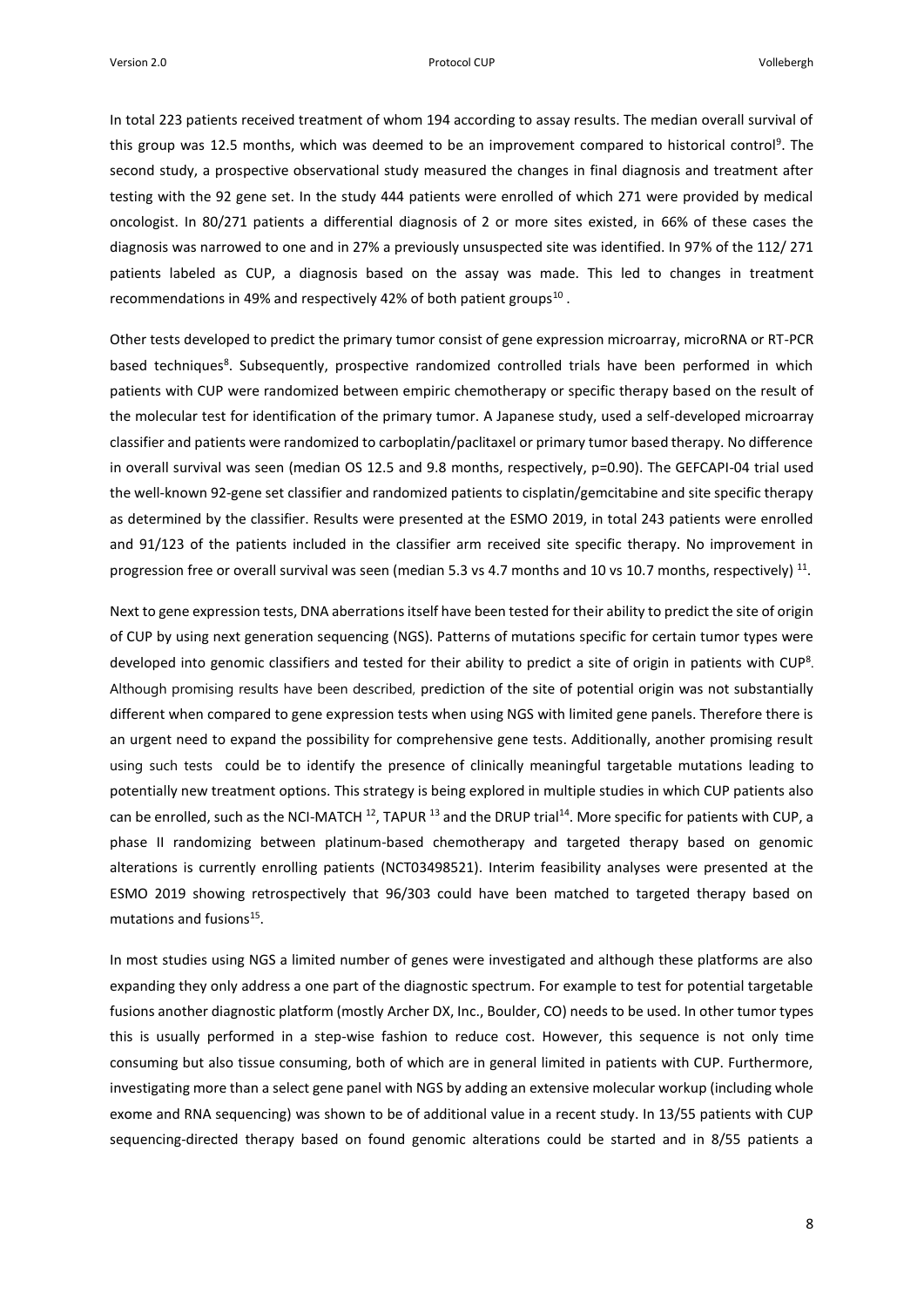In total 223 patients received treatment of whom 194 according to assay results. The median overall survival of this group was 12.5 months, which was deemed to be an improvement compared to historical control<sup>9</sup>. The second study, a prospective observational study measured the changes in final diagnosis and treatment after testing with the 92 gene set. In the study 444 patients were enrolled of which 271 were provided by medical oncologist. In 80/271 patients a differential diagnosis of 2 or more sites existed, in 66% of these cases the diagnosis was narrowed to one and in 27% a previously unsuspected site was identified. In 97% of the 112/ 271 patients labeled as CUP, a diagnosis based on the assay was made. This led to changes in treatment recommendations in 49% and respectively 42% of both patient groups $^{10}$ .

Other tests developed to predict the primary tumor consist of gene expression microarray, microRNA or RT-PCR based techniques<sup>8</sup>. Subsequently, prospective randomized controlled trials have been performed in which patients with CUP were randomized between empiric chemotherapy or specific therapy based on the result of the molecular test for identification of the primary tumor. A Japanese study, used a self-developed microarray classifier and patients were randomized to carboplatin/paclitaxel or primary tumor based therapy. No difference in overall survival was seen (median OS 12.5 and 9.8 months, respectively, p=0.90). The GEFCAPI-04 trial used the well-known 92-gene set classifier and randomized patients to cisplatin/gemcitabine and site specific therapy as determined by the classifier. Results were presented at the ESMO 2019, in total 243 patients were enrolled and 91/123 of the patients included in the classifier arm received site specific therapy. No improvement in progression free or overall survival was seen (median 5.3 vs 4.7 months and 10 vs 10.7 months, respectively)  $^{11}$ .

Next to gene expression tests, DNA aberrations itself have been tested for their ability to predict the site of origin of CUP by using next generation sequencing (NGS). Patterns of mutations specific for certain tumor types were developed into genomic classifiers and tested for their ability to predict a site of origin in patients with CUP<sup>8</sup>. Although promising results have been described, prediction of the site of potential origin was not substantially different when compared to gene expression tests when using NGS with limited gene panels. Therefore there is an urgent need to expand the possibility for comprehensive gene tests. Additionally, another promising result using such tests could be to identify the presence of clinically meaningful targetable mutations leading to potentially new treatment options. This strategy is being explored in multiple studies in which CUP patients also can be enrolled, such as the NCI-MATCH  $^{12}$ , TAPUR  $^{13}$  and the DRUP trial<sup>14</sup>. More specific for patients with CUP, a phase II randomizing between platinum-based chemotherapy and targeted therapy based on genomic alterations is currently enrolling patients (NCT03498521). Interim feasibility analyses were presented at the ESMO 2019 showing retrospectively that 96/303 could have been matched to targeted therapy based on mutations and fusions<sup>15</sup>.

In most studies using NGS a limited number of genes were investigated and although these platforms are also expanding they only address a one part of the diagnostic spectrum. For example to test for potential targetable fusions another diagnostic platform (mostly Archer DX, Inc., Boulder, CO) needs to be used. In other tumor types this is usually performed in a step-wise fashion to reduce cost. However, this sequence is not only time consuming but also tissue consuming, both of which are in general limited in patients with CUP. Furthermore, investigating more than a select gene panel with NGS by adding an extensive molecular workup (including whole exome and RNA sequencing) was shown to be of additional value in a recent study. In 13/55 patients with CUP sequencing-directed therapy based on found genomic alterations could be started and in 8/55 patients a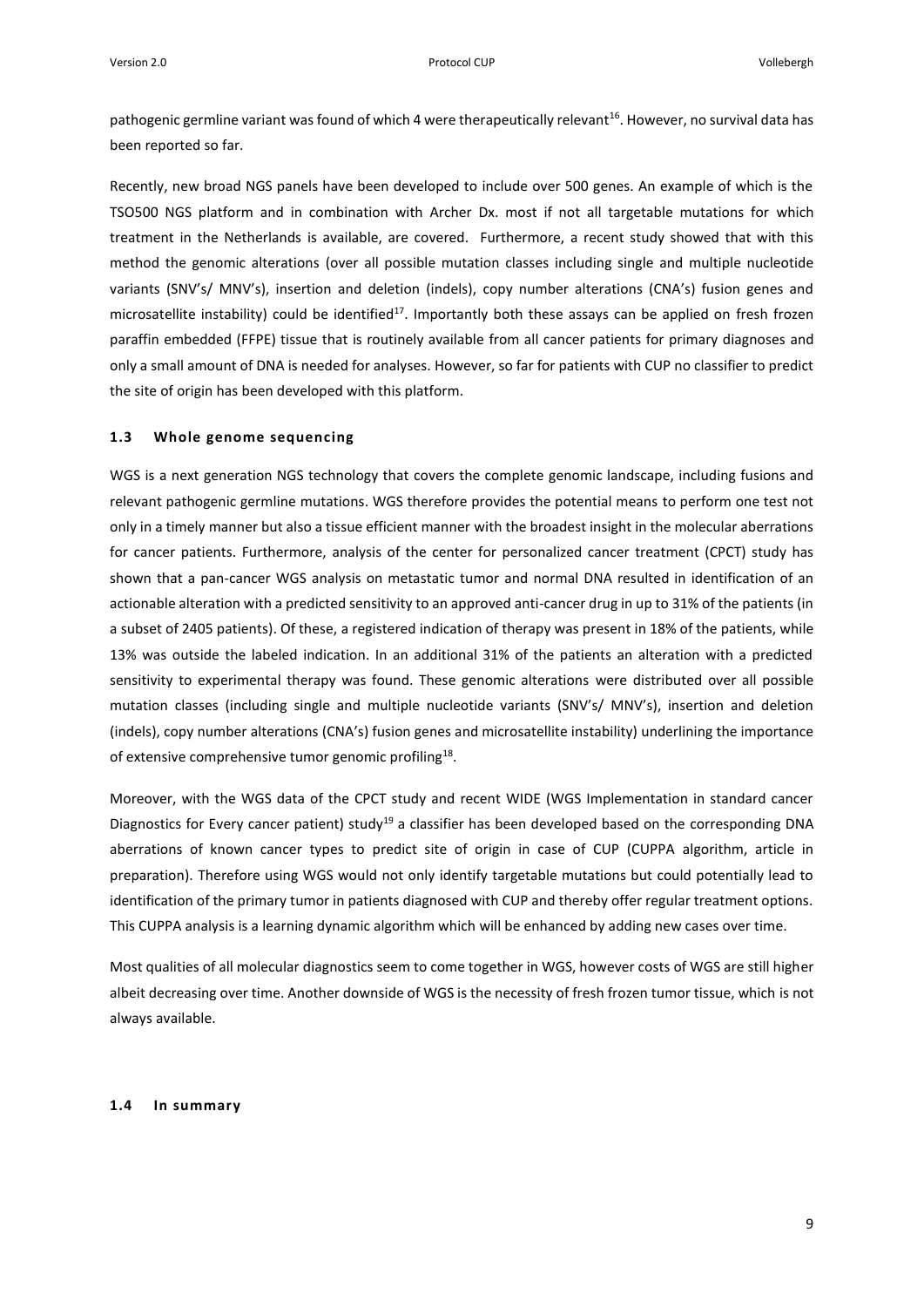pathogenic germline variant was found of which 4 were therapeutically relevant<sup>16</sup>. However, no survival data has been reported so far.

Recently, new broad NGS panels have been developed to include over 500 genes. An example of which is the TSO500 NGS platform and in combination with Archer Dx. most if not all targetable mutations for which treatment in the Netherlands is available, are covered. Furthermore, a recent study showed that with this method the genomic alterations (over all possible mutation classes including single and multiple nucleotide variants (SNV's/ MNV's), insertion and deletion (indels), copy number alterations (CNA's) fusion genes and microsatellite instability) could be identified<sup>17</sup>. Importantly both these assays can be applied on fresh frozen paraffin embedded (FFPE) tissue that is routinely available from all cancer patients for primary diagnoses and only a small amount of DNA is needed for analyses. However, so far for patients with CUP no classifier to predict the site of origin has been developed with this platform.

#### <span id="page-8-0"></span>**1.3 Whole genome sequencing**

WGS is a next generation NGS technology that covers the complete genomic landscape, including fusions and relevant pathogenic germline mutations. WGS therefore provides the potential means to perform one test not only in a timely manner but also a tissue efficient manner with the broadest insight in the molecular aberrations for cancer patients. Furthermore, analysis of the center for personalized cancer treatment (CPCT) study has shown that a pan-cancer WGS analysis on metastatic tumor and normal DNA resulted in identification of an actionable alteration with a predicted sensitivity to an approved anti-cancer drug in up to 31% of the patients (in a subset of 2405 patients). Of these, a registered indication of therapy was present in 18% of the patients, while 13% was outside the labeled indication. In an additional 31% of the patients an alteration with a predicted sensitivity to experimental therapy was found. These genomic alterations were distributed over all possible mutation classes (including single and multiple nucleotide variants (SNV's/ MNV's), insertion and deletion (indels), copy number alterations (CNA's) fusion genes and microsatellite instability) underlining the importance of extensive comprehensive tumor genomic profiling<sup>18</sup>.

Moreover, with the WGS data of the CPCT study and recent WIDE (WGS Implementation in standard cancer Diagnostics for Every cancer patient) study<sup>19</sup> a classifier has been developed based on the corresponding DNA aberrations of known cancer types to predict site of origin in case of CUP (CUPPA algorithm, article in preparation). Therefore using WGS would not only identify targetable mutations but could potentially lead to identification of the primary tumor in patients diagnosed with CUP and thereby offer regular treatment options. This CUPPA analysis is a learning dynamic algorithm which will be enhanced by adding new cases over time.

Most qualities of all molecular diagnostics seem to come together in WGS, however costs of WGS are still higher albeit decreasing over time. Another downside of WGS is the necessity of fresh frozen tumor tissue, which is not always available.

#### <span id="page-8-1"></span>**1.4 In summary**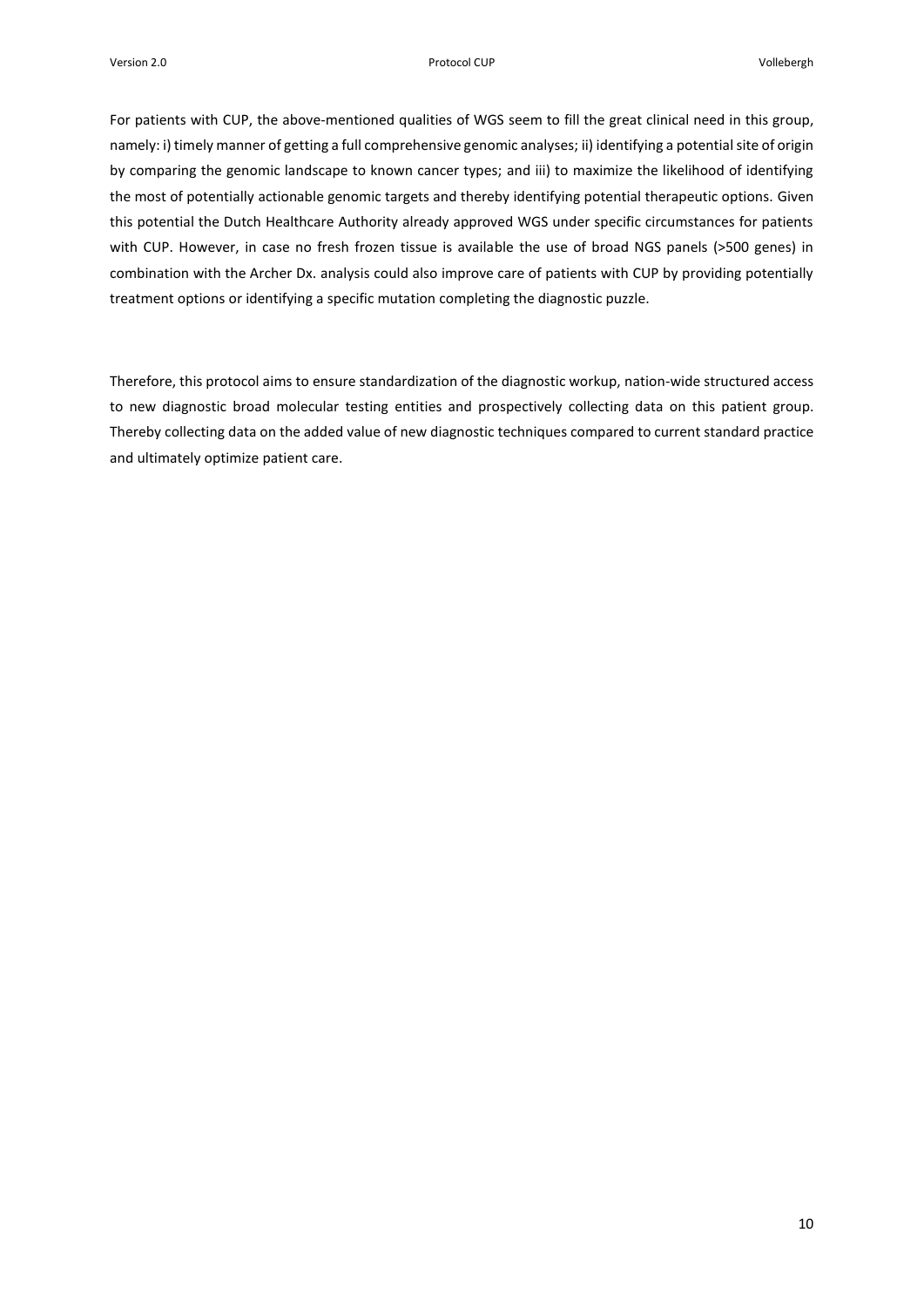For patients with CUP, the above-mentioned qualities of WGS seem to fill the great clinical need in this group, namely: i) timely manner of getting a full comprehensive genomic analyses; ii) identifying a potential site of origin by comparing the genomic landscape to known cancer types; and iii) to maximize the likelihood of identifying the most of potentially actionable genomic targets and thereby identifying potential therapeutic options. Given this potential the Dutch Healthcare Authority already approved WGS under specific circumstances for patients with CUP. However, in case no fresh frozen tissue is available the use of broad NGS panels (>500 genes) in combination with the Archer Dx. analysis could also improve care of patients with CUP by providing potentially treatment options or identifying a specific mutation completing the diagnostic puzzle.

Therefore, this protocol aims to ensure standardization of the diagnostic workup, nation-wide structured access to new diagnostic broad molecular testing entities and prospectively collecting data on this patient group. Thereby collecting data on the added value of new diagnostic techniques compared to current standard practice and ultimately optimize patient care.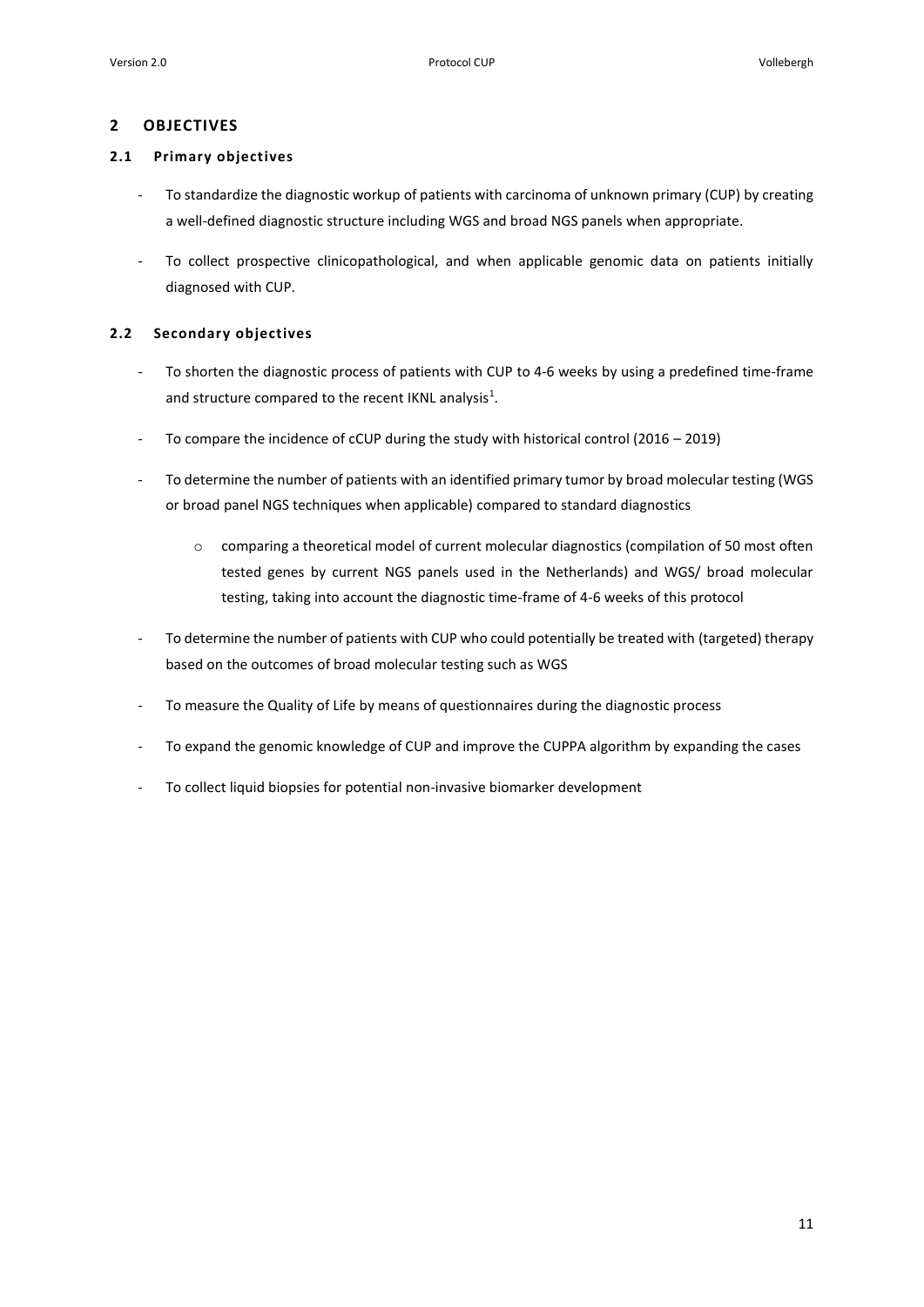## <span id="page-10-0"></span>**2 OBJECTIVES**

## <span id="page-10-1"></span>**2.1 Primary objectives**

- To standardize the diagnostic workup of patients with carcinoma of unknown primary (CUP) by creating a well-defined diagnostic structure including WGS and broad NGS panels when appropriate.
- To collect prospective clinicopathological, and when applicable genomic data on patients initially diagnosed with CUP.

## <span id="page-10-2"></span>**2.2 Secondary objectives**

- To shorten the diagnostic process of patients with CUP to 4-6 weeks by using a predefined time-frame and structure compared to the recent IKNL analysis<sup>1</sup>.
- To compare the incidence of cCUP during the study with historical control (2016 2019)
- To determine the number of patients with an identified primary tumor by broad molecular testing (WGS or broad panel NGS techniques when applicable) compared to standard diagnostics
	- o comparing a theoretical model of current molecular diagnostics (compilation of 50 most often tested genes by current NGS panels used in the Netherlands) and WGS/ broad molecular testing, taking into account the diagnostic time-frame of 4-6 weeks of this protocol
- To determine the number of patients with CUP who could potentially be treated with (targeted) therapy based on the outcomes of broad molecular testing such as WGS
- To measure the Quality of Life by means of questionnaires during the diagnostic process
- To expand the genomic knowledge of CUP and improve the CUPPA algorithm by expanding the cases
- To collect liquid biopsies for potential non-invasive biomarker development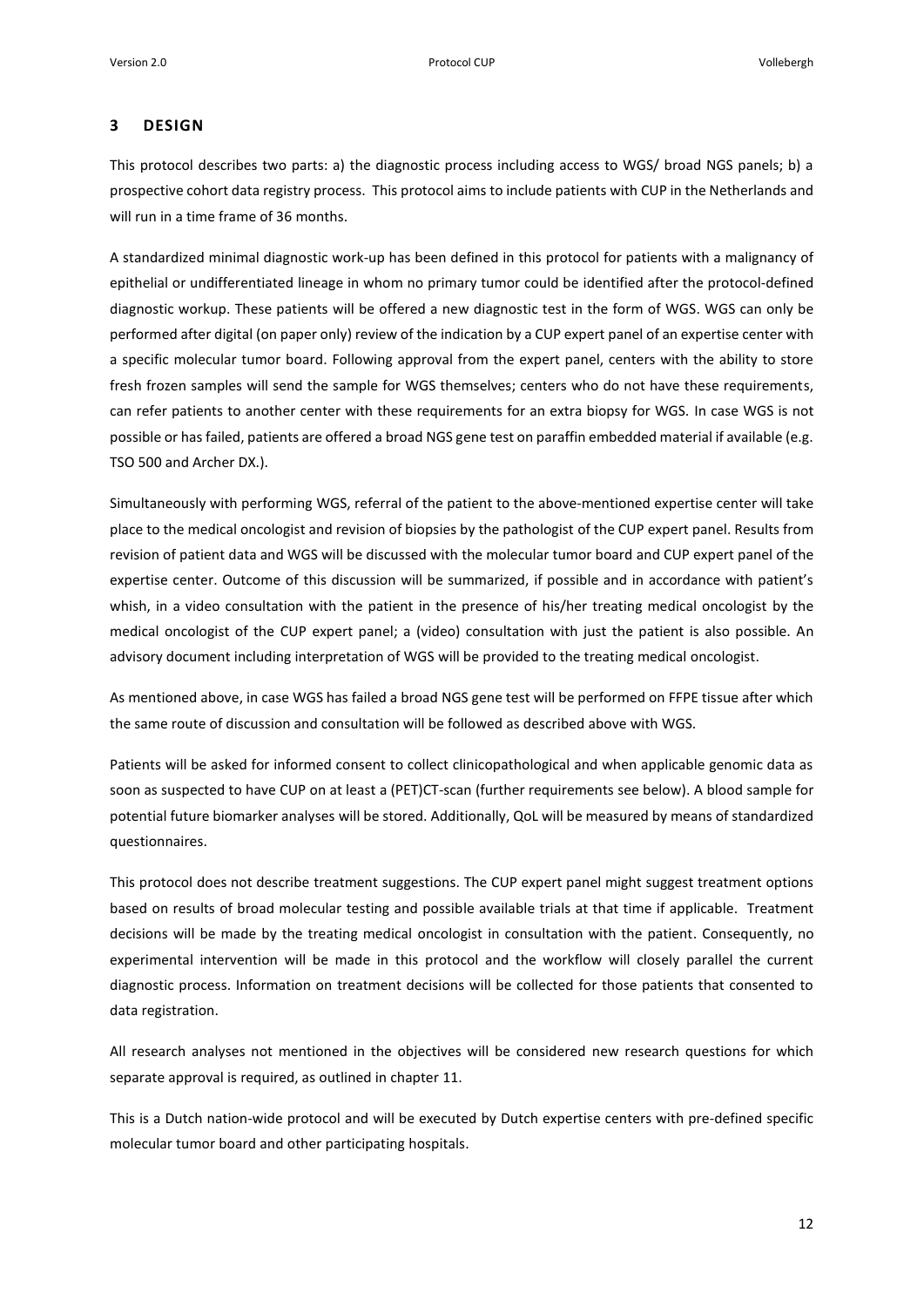## <span id="page-11-0"></span>**3 DESIGN**

This protocol describes two parts: a) the diagnostic process including access to WGS/ broad NGS panels; b) a prospective cohort data registry process. This protocol aims to include patients with CUP in the Netherlands and will run in a time frame of 36 months.

A standardized minimal diagnostic work-up has been defined in this protocol for patients with a malignancy of epithelial or undifferentiated lineage in whom no primary tumor could be identified after the protocol-defined diagnostic workup. These patients will be offered a new diagnostic test in the form of WGS. WGS can only be performed after digital (on paper only) review of the indication by a CUP expert panel of an expertise center with a specific molecular tumor board. Following approval from the expert panel, centers with the ability to store fresh frozen samples will send the sample for WGS themselves; centers who do not have these requirements, can refer patients to another center with these requirements for an extra biopsy for WGS. In case WGS is not possible or has failed, patients are offered a broad NGS gene test on paraffin embedded material if available (e.g. TSO 500 and Archer DX.).

Simultaneously with performing WGS, referral of the patient to the above-mentioned expertise center will take place to the medical oncologist and revision of biopsies by the pathologist of the CUP expert panel. Results from revision of patient data and WGS will be discussed with the molecular tumor board and CUP expert panel of the expertise center. Outcome of this discussion will be summarized, if possible and in accordance with patient's whish, in a video consultation with the patient in the presence of his/her treating medical oncologist by the medical oncologist of the CUP expert panel; a (video) consultation with just the patient is also possible. An advisory document including interpretation of WGS will be provided to the treating medical oncologist.

As mentioned above, in case WGS has failed a broad NGS gene test will be performed on FFPE tissue after which the same route of discussion and consultation will be followed as described above with WGS.

Patients will be asked for informed consent to collect clinicopathological and when applicable genomic data as soon as suspected to have CUP on at least a (PET)CT-scan (further requirements see below). A blood sample for potential future biomarker analyses will be stored. Additionally, QoL will be measured by means of standardized questionnaires.

This protocol does not describe treatment suggestions. The CUP expert panel might suggest treatment options based on results of broad molecular testing and possible available trials at that time if applicable. Treatment decisions will be made by the treating medical oncologist in consultation with the patient. Consequently, no experimental intervention will be made in this protocol and the workflow will closely parallel the current diagnostic process. Information on treatment decisions will be collected for those patients that consented to data registration.

All research analyses not mentioned in the objectives will be considered new research questions for which separate approval is required, as outlined in chapter 11.

This is a Dutch nation-wide protocol and will be executed by Dutch expertise centers with pre-defined specific molecular tumor board and other participating hospitals.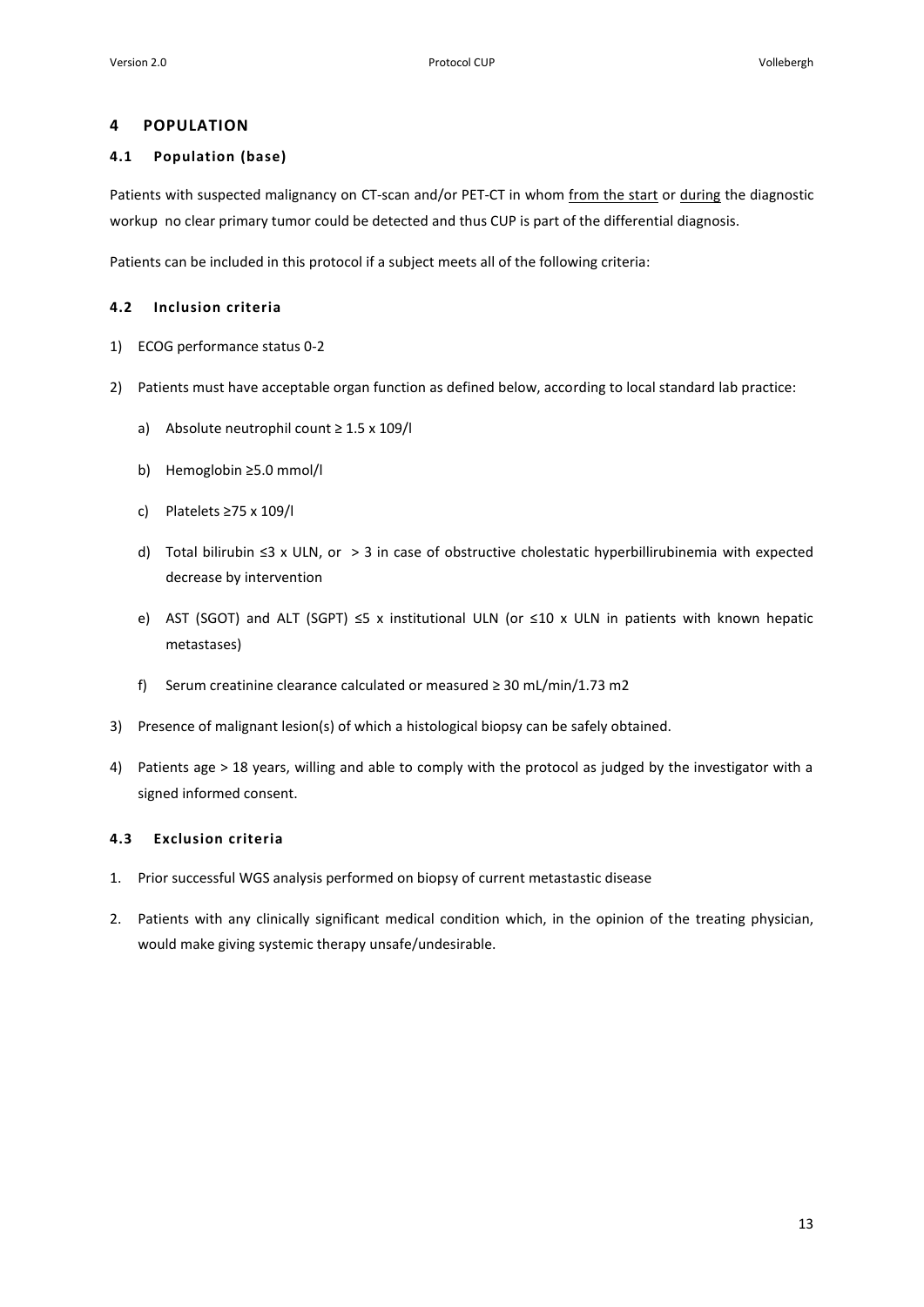## <span id="page-12-0"></span>**4 POPULATION**

## <span id="page-12-1"></span>**4.1 Population (base)**

Patients with suspected malignancy on CT-scan and/or PET-CT in whom from the start or during the diagnostic workup no clear primary tumor could be detected and thus CUP is part of the differential diagnosis.

Patients can be included in this protocol if a subject meets all of the following criteria:

## <span id="page-12-2"></span>**4.2 Inclusion criteria**

- 1) ECOG performance status 0-2
- 2) Patients must have acceptable organ function as defined below, according to local standard lab practice:
	- a) Absolute neutrophil count ≥ 1.5 x 109/l
	- b) Hemoglobin ≥5.0 mmol/l
	- c) Platelets ≥75 x 109/l
	- d) Total bilirubin ≤3 x ULN, or > 3 in case of obstructive cholestatic hyperbillirubinemia with expected decrease by intervention
	- e) AST (SGOT) and ALT (SGPT) ≤5 x institutional ULN (or ≤10 x ULN in patients with known hepatic metastases)
	- f) Serum creatinine clearance calculated or measured ≥ 30 mL/min/1.73 m2
- 3) Presence of malignant lesion(s) of which a histological biopsy can be safely obtained.
- 4) Patients age > 18 years, willing and able to comply with the protocol as judged by the investigator with a signed informed consent.

## <span id="page-12-3"></span>**4.3 Exclusion criteria**

- 1. Prior successful WGS analysis performed on biopsy of current metastastic disease
- 2. Patients with any clinically significant medical condition which, in the opinion of the treating physician, would make giving systemic therapy unsafe/undesirable.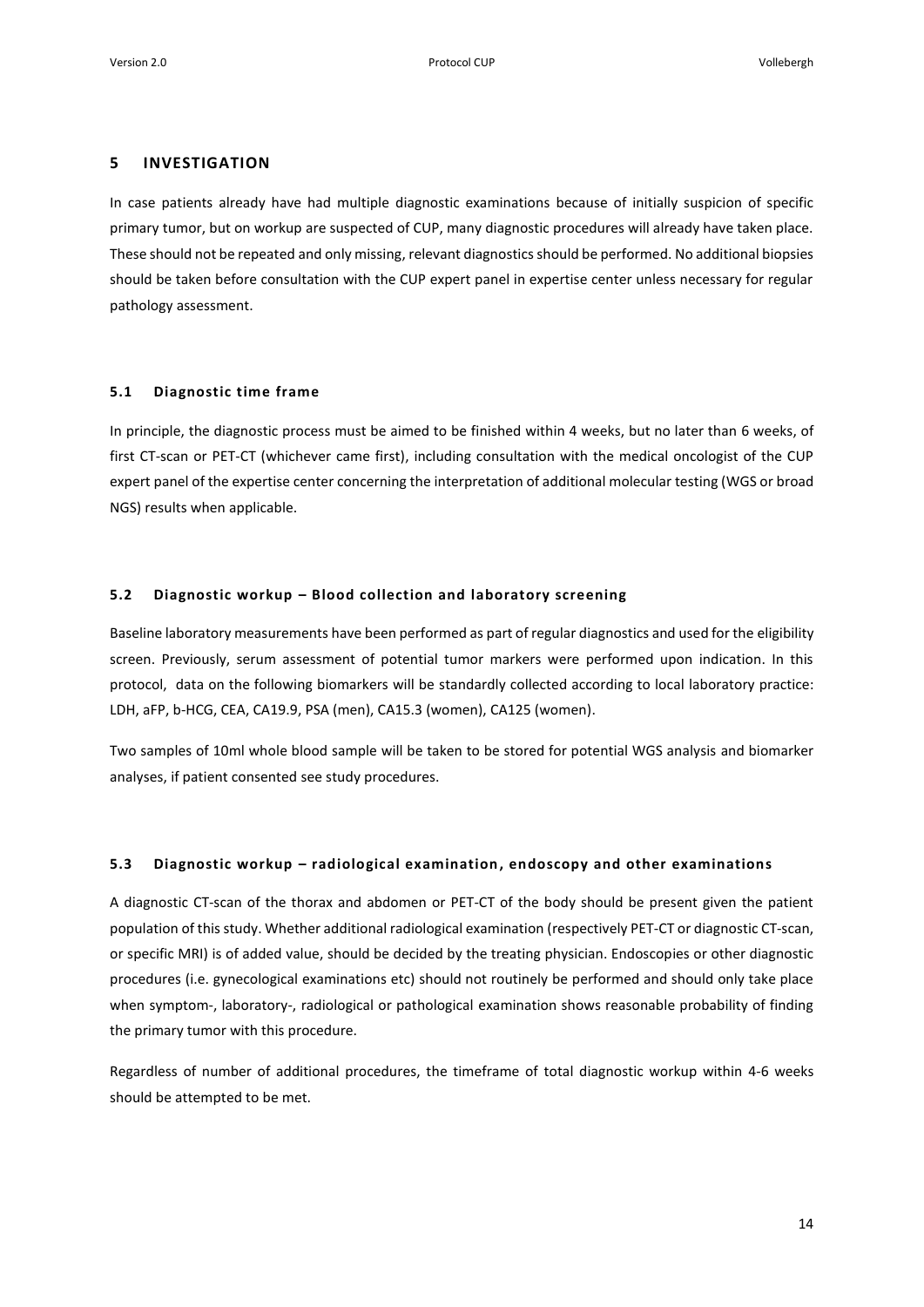## <span id="page-13-0"></span>**5 INVESTIGATION**

In case patients already have had multiple diagnostic examinations because of initially suspicion of specific primary tumor, but on workup are suspected of CUP, many diagnostic procedures will already have taken place. These should not be repeated and only missing, relevant diagnostics should be performed. No additional biopsies should be taken before consultation with the CUP expert panel in expertise center unless necessary for regular pathology assessment.

#### <span id="page-13-1"></span>**5.1 Diagnostic time frame**

In principle, the diagnostic process must be aimed to be finished within 4 weeks, but no later than 6 weeks, of first CT-scan or PET-CT (whichever came first), including consultation with the medical oncologist of the CUP expert panel of the expertise center concerning the interpretation of additional molecular testing (WGS or broad NGS) results when applicable.

#### <span id="page-13-2"></span>**5.2 Diagnostic workup – Blood collection and laboratory screening**

Baseline laboratory measurements have been performed as part of regular diagnostics and used for the eligibility screen. Previously, serum assessment of potential tumor markers were performed upon indication. In this protocol, data on the following biomarkers will be standardly collected according to local laboratory practice: LDH, aFP, b-HCG, CEA, CA19.9, PSA (men), CA15.3 (women), CA125 (women).

Two samples of 10ml whole blood sample will be taken to be stored for potential WGS analysis and biomarker analyses, if patient consented see study procedures.

#### <span id="page-13-3"></span>**5.3 Diagnostic workup – radiological examination, endoscopy and other examinations**

A diagnostic CT-scan of the thorax and abdomen or PET-CT of the body should be present given the patient population of this study. Whether additional radiological examination (respectively PET-CT or diagnostic CT-scan, or specific MRI) is of added value, should be decided by the treating physician. Endoscopies or other diagnostic procedures (i.e. gynecological examinations etc) should not routinely be performed and should only take place when symptom-, laboratory-, radiological or pathological examination shows reasonable probability of finding the primary tumor with this procedure.

Regardless of number of additional procedures, the timeframe of total diagnostic workup within 4-6 weeks should be attempted to be met.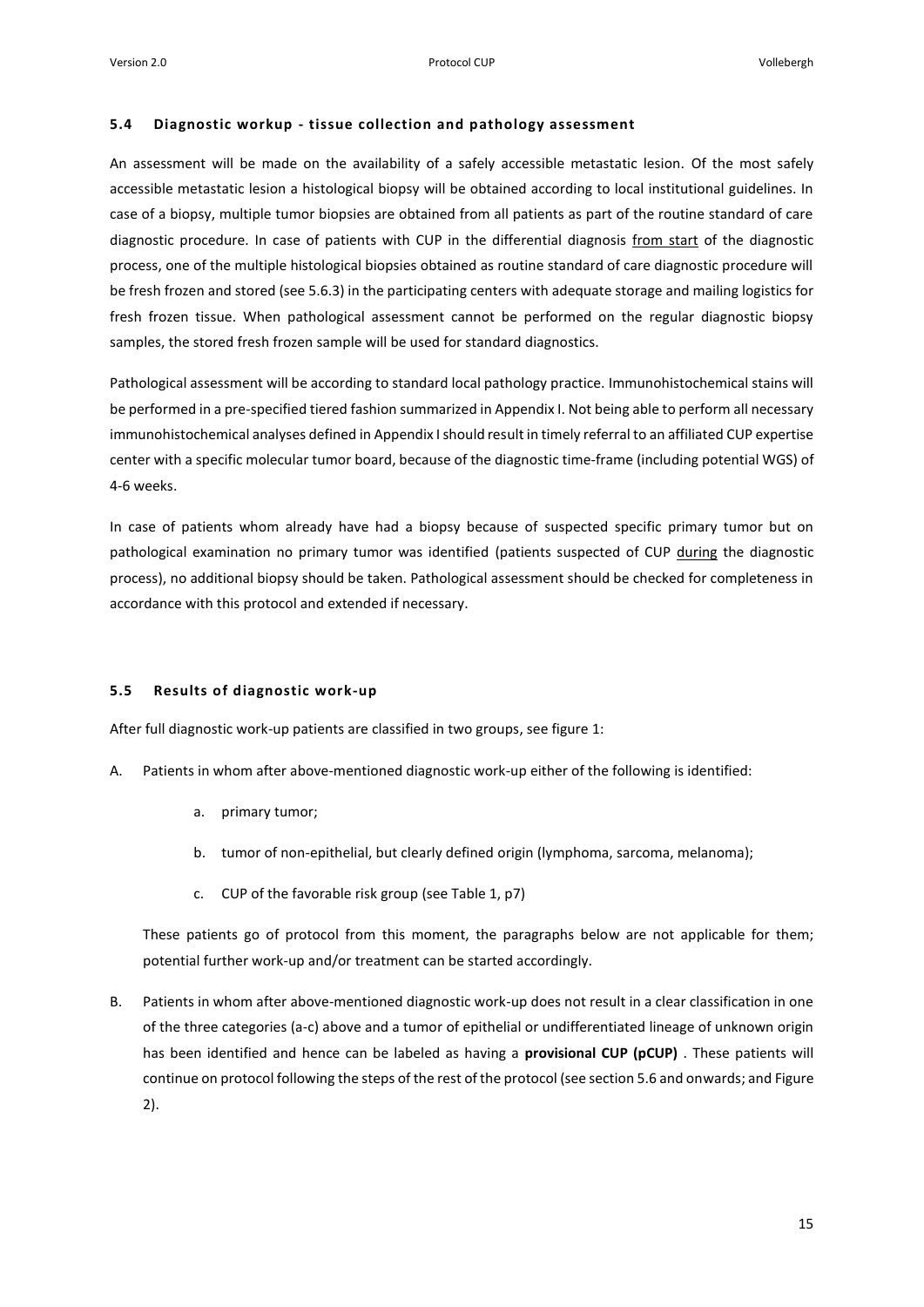#### <span id="page-14-0"></span>**5.4 Diagnostic workup - tissue collection and pathology assessment**

An assessment will be made on the availability of a safely accessible metastatic lesion. Of the most safely accessible metastatic lesion a histological biopsy will be obtained according to local institutional guidelines. In case of a biopsy, multiple tumor biopsies are obtained from all patients as part of the routine standard of care diagnostic procedure. In case of patients with CUP in the differential diagnosis from start of the diagnostic process, one of the multiple histological biopsies obtained as routine standard of care diagnostic procedure will be fresh frozen and stored (see 5.6.3) in the participating centers with adequate storage and mailing logistics for fresh frozen tissue. When pathological assessment cannot be performed on the regular diagnostic biopsy samples, the stored fresh frozen sample will be used for standard diagnostics.

Pathological assessment will be according to standard local pathology practice. Immunohistochemical stains will be performed in a pre-specified tiered fashion summarized in Appendix I. Not being able to perform all necessary immunohistochemical analyses defined in Appendix I should result in timely referral to an affiliated CUP expertise center with a specific molecular tumor board, because of the diagnostic time-frame (including potential WGS) of 4-6 weeks.

In case of patients whom already have had a biopsy because of suspected specific primary tumor but on pathological examination no primary tumor was identified (patients suspected of CUP during the diagnostic process), no additional biopsy should be taken. Pathological assessment should be checked for completeness in accordance with this protocol and extended if necessary.

## <span id="page-14-1"></span>**5.5 Results of diagnostic work-up**

After full diagnostic work-up patients are classified in two groups, see figure 1:

- A. Patients in whom after above-mentioned diagnostic work-up either of the following is identified:
	- a. primary tumor;
	- b. tumor of non-epithelial, but clearly defined origin (lymphoma, sarcoma, melanoma);
	- c. CUP of the favorable risk group (see Table 1, p7)

These patients go of protocol from this moment, the paragraphs below are not applicable for them; potential further work-up and/or treatment can be started accordingly.

B. Patients in whom after above-mentioned diagnostic work-up does not result in a clear classification in one of the three categories (a-c) above and a tumor of epithelial or undifferentiated lineage of unknown origin has been identified and hence can be labeled as having a **provisional CUP (pCUP)** . These patients will continue on protocol following the steps of the rest of the protocol (see section 5.6 and onwards; and Figure 2).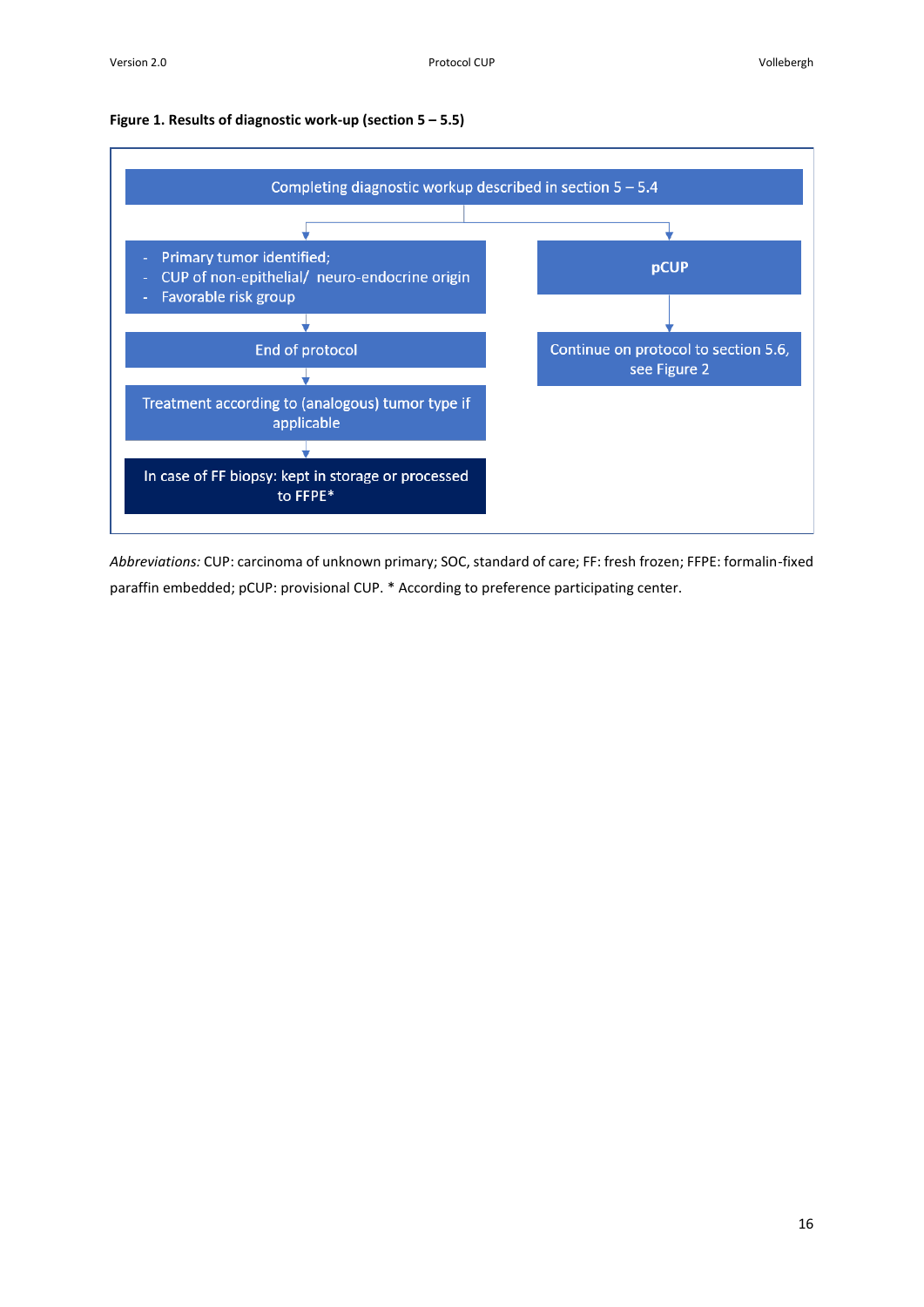



*Abbreviations:* CUP: carcinoma of unknown primary; SOC, standard of care; FF: fresh frozen; FFPE: formalin-fixed paraffin embedded; pCUP: provisional CUP. \* According to preference participating center.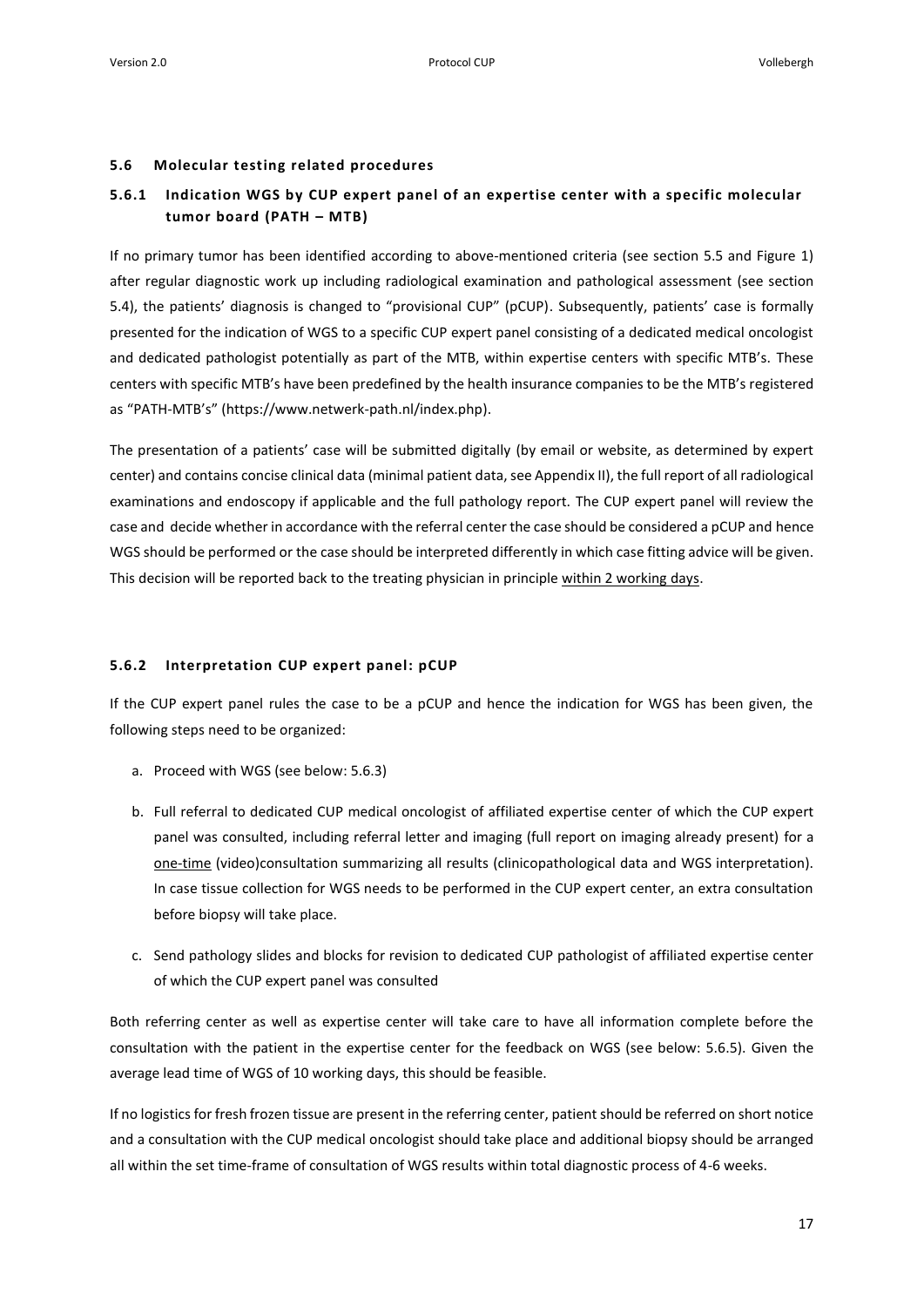#### <span id="page-16-0"></span>**5.6 Molecular testing related procedures**

# <span id="page-16-1"></span>**5.6.1 Indication WGS by CUP expert panel of an expertise center with a specific molecular tumor board (PATH – MTB)**

If no primary tumor has been identified according to above-mentioned criteria (see section 5.5 and Figure 1) after regular diagnostic work up including radiological examination and pathological assessment (see section 5.4), the patients' diagnosis is changed to "provisional CUP" (pCUP). Subsequently, patients' case is formally presented for the indication of WGS to a specific CUP expert panel consisting of a dedicated medical oncologist and dedicated pathologist potentially as part of the MTB, within expertise centers with specific MTB's. These centers with specific MTB's have been predefined by the health insurance companies to be the MTB's registered as "PATH-MTB's" (https://www.netwerk-path.nl/index.php).

The presentation of a patients' case will be submitted digitally (by email or website, as determined by expert center) and contains concise clinical data (minimal patient data, see Appendix II), the full report of all radiological examinations and endoscopy if applicable and the full pathology report. The CUP expert panel will review the case and decide whether in accordance with the referral center the case should be considered a pCUP and hence WGS should be performed or the case should be interpreted differently in which case fitting advice will be given. This decision will be reported back to the treating physician in principle within 2 working days.

## <span id="page-16-2"></span>**5.6.2 Interpretation CUP expert panel: pCUP**

If the CUP expert panel rules the case to be a pCUP and hence the indication for WGS has been given, the following steps need to be organized:

- a. Proceed with WGS (see below: 5.6.3)
- b. Full referral to dedicated CUP medical oncologist of affiliated expertise center of which the CUP expert panel was consulted, including referral letter and imaging (full report on imaging already present) for a one-time (video)consultation summarizing all results (clinicopathological data and WGS interpretation). In case tissue collection for WGS needs to be performed in the CUP expert center, an extra consultation before biopsy will take place.
- c. Send pathology slides and blocks for revision to dedicated CUP pathologist of affiliated expertise center of which the CUP expert panel was consulted

Both referring center as well as expertise center will take care to have all information complete before the consultation with the patient in the expertise center for the feedback on WGS (see below: 5.6.5). Given the average lead time of WGS of 10 working days, this should be feasible.

If no logistics for fresh frozen tissue are present in the referring center, patient should be referred on short notice and a consultation with the CUP medical oncologist should take place and additional biopsy should be arranged all within the set time-frame of consultation of WGS results within total diagnostic process of 4-6 weeks.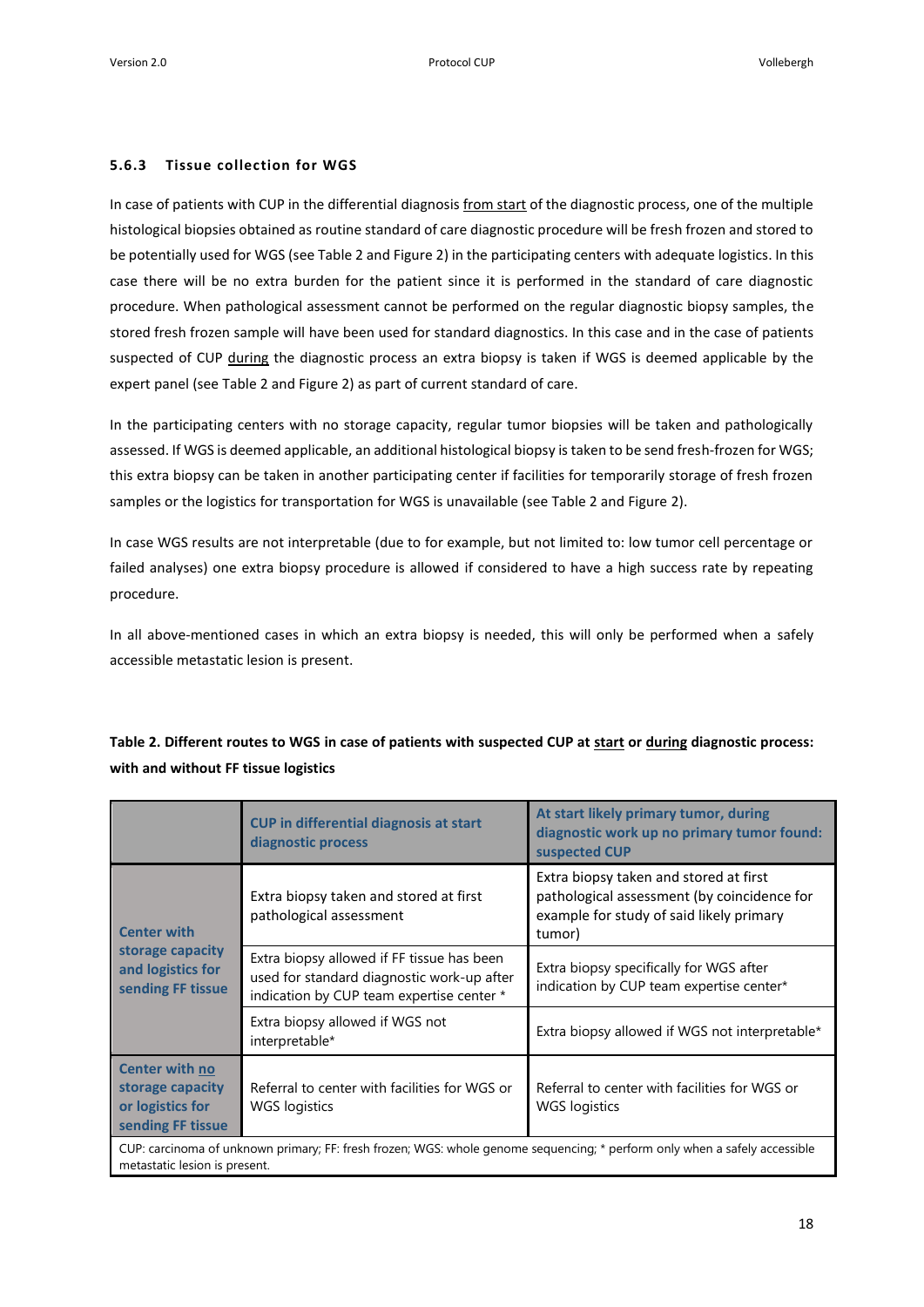#### <span id="page-17-0"></span>**5.6.3 Tissue collection for WGS**

In case of patients with CUP in the differential diagnosis from start of the diagnostic process, one of the multiple histological biopsies obtained as routine standard of care diagnostic procedure will be fresh frozen and stored to be potentially used for WGS (see Table 2 and Figure 2) in the participating centers with adequate logistics. In this case there will be no extra burden for the patient since it is performed in the standard of care diagnostic procedure. When pathological assessment cannot be performed on the regular diagnostic biopsy samples, the stored fresh frozen sample will have been used for standard diagnostics. In this case and in the case of patients suspected of CUP during the diagnostic process an extra biopsy is taken if WGS is deemed applicable by the expert panel (see Table 2 and Figure 2) as part of current standard of care.

In the participating centers with no storage capacity, regular tumor biopsies will be taken and pathologically assessed. If WGS is deemed applicable, an additional histological biopsy is taken to be send fresh-frozen for WGS; this extra biopsy can be taken in another participating center if facilities for temporarily storage of fresh frozen samples or the logistics for transportation for WGS is unavailable (see Table 2 and Figure 2).

In case WGS results are not interpretable (due to for example, but not limited to: low tumor cell percentage or failed analyses) one extra biopsy procedure is allowed if considered to have a high success rate by repeating procedure.

In all above-mentioned cases in which an extra biopsy is needed, this will only be performed when a safely accessible metastatic lesion is present.

|                                                                                                                                                             | <b>CUP in differential diagnosis at start</b><br>diagnostic process                                                                   | At start likely primary tumor, during<br>diagnostic work up no primary tumor found:<br>suspected CUP                                        |
|-------------------------------------------------------------------------------------------------------------------------------------------------------------|---------------------------------------------------------------------------------------------------------------------------------------|---------------------------------------------------------------------------------------------------------------------------------------------|
| <b>Center with</b>                                                                                                                                          | Extra biopsy taken and stored at first<br>pathological assessment                                                                     | Extra biopsy taken and stored at first<br>pathological assessment (by coincidence for<br>example for study of said likely primary<br>tumor) |
| storage capacity<br>and logistics for<br>sending FF tissue                                                                                                  | Extra biopsy allowed if FF tissue has been<br>used for standard diagnostic work-up after<br>indication by CUP team expertise center * | Extra biopsy specifically for WGS after<br>indication by CUP team expertise center*                                                         |
|                                                                                                                                                             | Extra biopsy allowed if WGS not<br>interpretable*                                                                                     | Extra biopsy allowed if WGS not interpretable*                                                                                              |
| <b>Center with no</b><br>storage capacity<br>or logistics for<br>sending FF tissue                                                                          | Referral to center with facilities for WGS or<br><b>WGS</b> logistics                                                                 | Referral to center with facilities for WGS or<br>WGS logistics                                                                              |
| CUP: carcinoma of unknown primary; FF: fresh frozen; WGS: whole genome sequencing; * perform only when a safely accessible<br>metastatic lesion is present. |                                                                                                                                       |                                                                                                                                             |

# **Table 2. Different routes to WGS in case of patients with suspected CUP at start or during diagnostic process: with and without FF tissue logistics**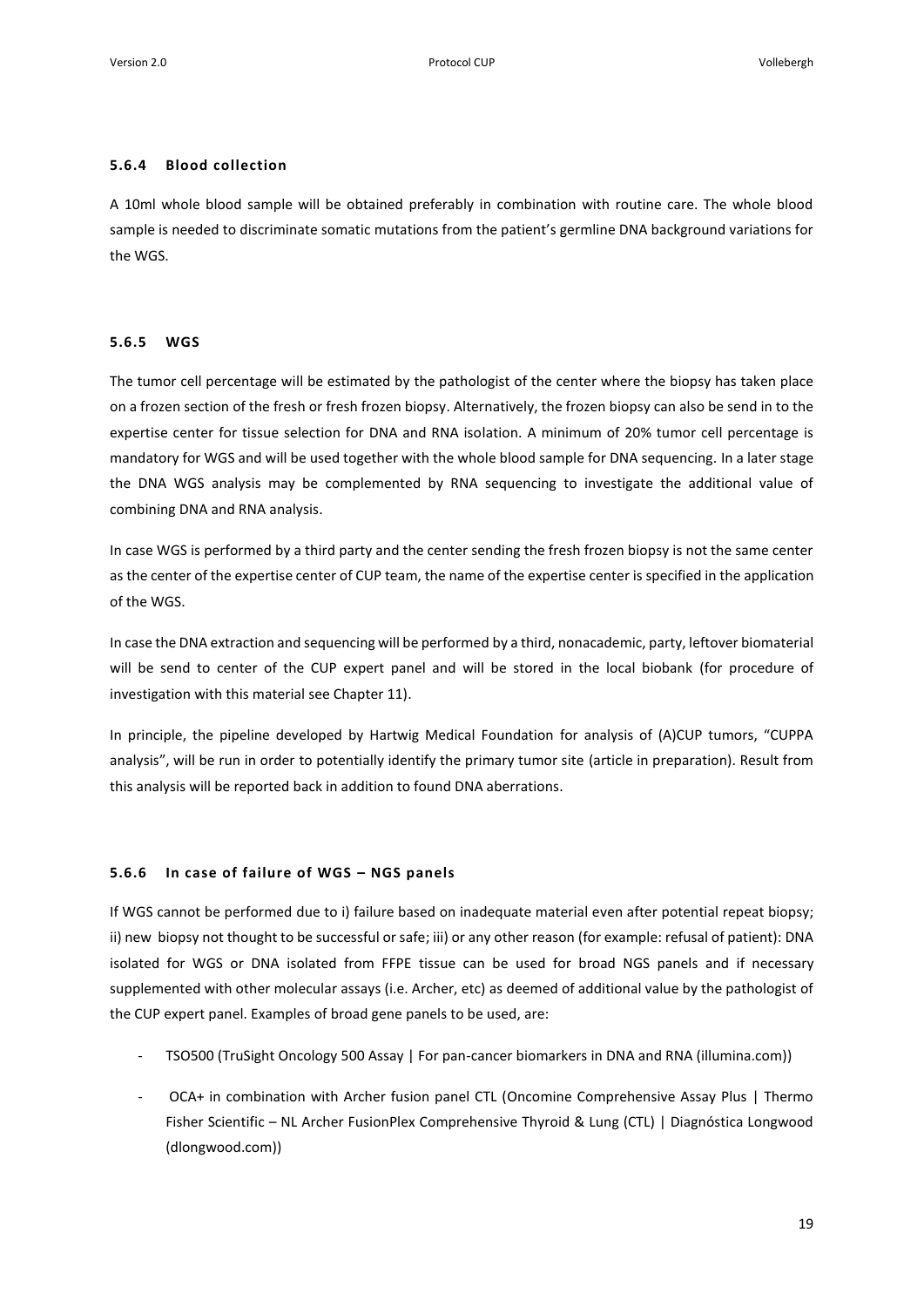#### <span id="page-18-0"></span>**5.6.4 Blood collection**

A 10ml whole blood sample will be obtained preferably in combination with routine care. The whole blood sample is needed to discriminate somatic mutations from the patient's germline DNA background variations for the WGS.

#### <span id="page-18-1"></span>**5.6.5 WGS**

The tumor cell percentage will be estimated by the pathologist of the center where the biopsy has taken place on a frozen section of the fresh or fresh frozen biopsy. Alternatively, the frozen biopsy can also be send in to the expertise center for tissue selection for DNA and RNA isolation. A minimum of 20% tumor cell percentage is mandatory for WGS and will be used together with the whole blood sample for DNA sequencing. In a later stage the DNA WGS analysis may be complemented by RNA sequencing to investigate the additional value of combining DNA and RNA analysis.

In case WGS is performed by a third party and the center sending the fresh frozen biopsy is not the same center as the center of the expertise center of CUP team, the name of the expertise center is specified in the application of the WGS.

In case the DNA extraction and sequencing will be performed by a third, nonacademic, party, leftover biomaterial will be send to center of the CUP expert panel and will be stored in the local biobank (for procedure of investigation with this material see Chapter 11).

In principle, the pipeline developed by Hartwig Medical Foundation for analysis of (A)CUP tumors, "CUPPA analysis", will be run in order to potentially identify the primary tumor site (article in preparation). Result from this analysis will be reported back in addition to found DNA aberrations.

## <span id="page-18-2"></span>**5.6.6 In case of failure of WGS – NGS panels**

If WGS cannot be performed due to i) failure based on inadequate material even after potential repeat biopsy; ii) new biopsy not thought to be successful or safe; iii) or any other reason (for example: refusal of patient): DNA isolated for WGS or DNA isolated from FFPE tissue can be used for broad NGS panels and if necessary supplemented with other molecular assays (i.e. Archer, etc) as deemed of additional value by the pathologist of the CUP expert panel. Examples of broad gene panels to be used, are:

- TSO500 (TruSight Oncology 500 Assay | For pan-cancer biomarkers in DNA and RNA (illumina.com))
- OCA+ in combination with Archer fusion panel CTL (Oncomine Comprehensive Assay Plus | Thermo Fisher Scientific – NL Archer FusionPlex Comprehensive Thyroid & Lung (CTL) | Diagnóstica Longwood (dlongwood.com))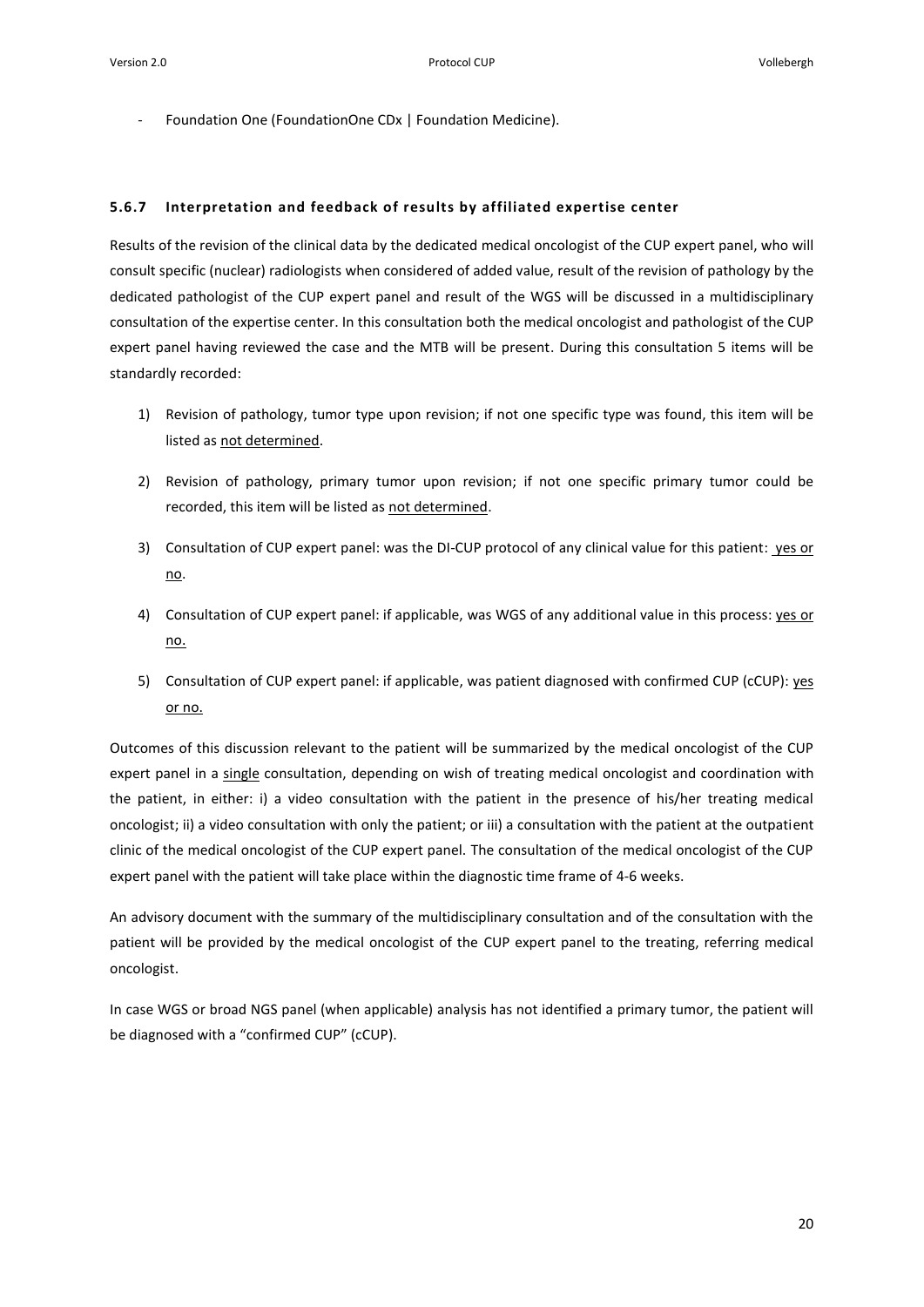Foundation One (FoundationOne CDx | Foundation Medicine).

#### <span id="page-19-0"></span>**5.6.7 Interpretation and feedback of results by affiliated expertise center**

Results of the revision of the clinical data by the dedicated medical oncologist of the CUP expert panel, who will consult specific (nuclear) radiologists when considered of added value, result of the revision of pathology by the dedicated pathologist of the CUP expert panel and result of the WGS will be discussed in a multidisciplinary consultation of the expertise center. In this consultation both the medical oncologist and pathologist of the CUP expert panel having reviewed the case and the MTB will be present. During this consultation 5 items will be standardly recorded:

- 1) Revision of pathology, tumor type upon revision; if not one specific type was found, this item will be listed as not determined.
- 2) Revision of pathology, primary tumor upon revision; if not one specific primary tumor could be recorded, this item will be listed as not determined.
- 3) Consultation of CUP expert panel: was the DI-CUP protocol of any clinical value for this patient: yes or no.
- 4) Consultation of CUP expert panel: if applicable, was WGS of any additional value in this process: yes or no.
- 5) Consultation of CUP expert panel: if applicable, was patient diagnosed with confirmed CUP (cCUP): yes or no.

Outcomes of this discussion relevant to the patient will be summarized by the medical oncologist of the CUP expert panel in a single consultation, depending on wish of treating medical oncologist and coordination with the patient, in either: i) a video consultation with the patient in the presence of his/her treating medical oncologist; ii) a video consultation with only the patient; or iii) a consultation with the patient at the outpatient clinic of the medical oncologist of the CUP expert panel. The consultation of the medical oncologist of the CUP expert panel with the patient will take place within the diagnostic time frame of 4-6 weeks.

An advisory document with the summary of the multidisciplinary consultation and of the consultation with the patient will be provided by the medical oncologist of the CUP expert panel to the treating, referring medical oncologist.

In case WGS or broad NGS panel (when applicable) analysis has not identified a primary tumor, the patient will be diagnosed with a "confirmed CUP" (cCUP).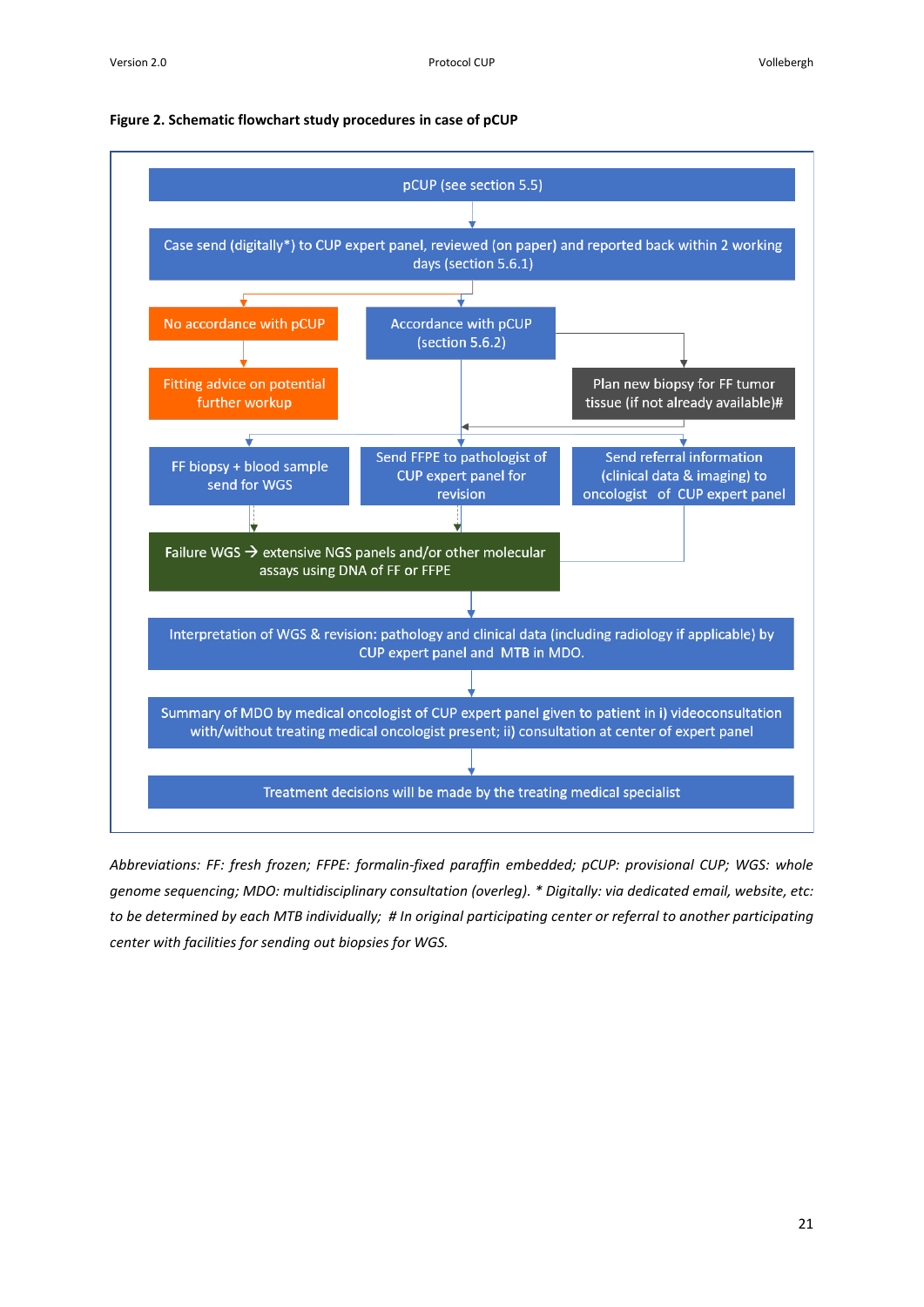

#### **Figure 2. Schematic flowchart study procedures in case of pCUP**

*Abbreviations: FF: fresh frozen; FFPE: formalin-fixed paraffin embedded; pCUP: provisional CUP; WGS: whole genome sequencing; MDO: multidisciplinary consultation (overleg). \* Digitally: via dedicated email, website, etc: to be determined by each MTB individually; # In original participating center or referral to another participating center with facilities for sending out biopsies for WGS.*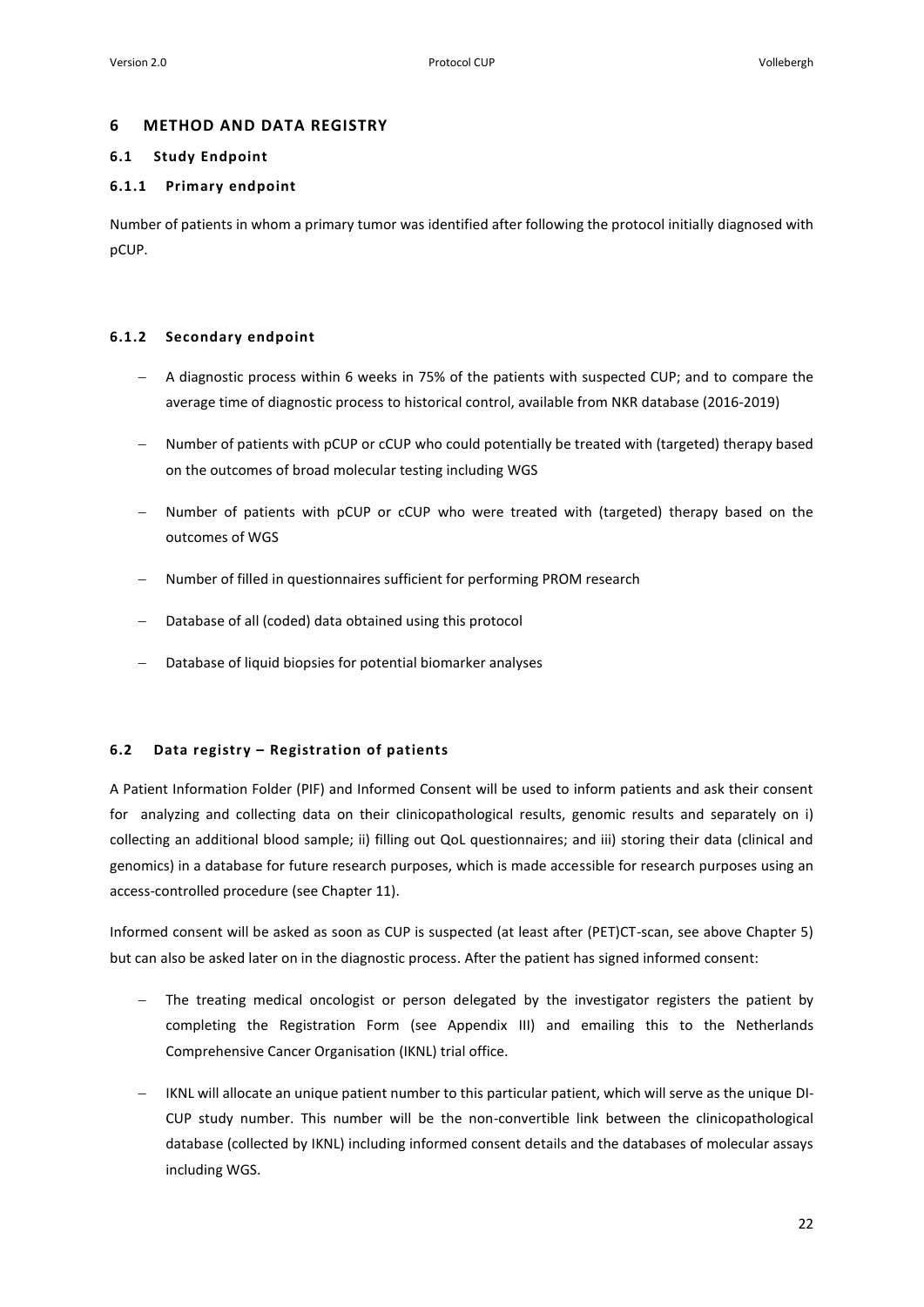## <span id="page-21-0"></span>**6 METHOD AND DATA REGISTRY**

#### <span id="page-21-1"></span>**6.1 Study Endpoint**

#### <span id="page-21-2"></span>**6.1.1 Primary endpoint**

Number of patients in whom a primary tumor was identified after following the protocol initially diagnosed with pCUP.

#### <span id="page-21-3"></span>**6.1.2 Secondary endpoint**

- − A diagnostic process within 6 weeks in 75% of the patients with suspected CUP; and to compare the average time of diagnostic process to historical control, available from NKR database (2016-2019)
- − Number of patients with pCUP or cCUP who could potentially be treated with (targeted) therapy based on the outcomes of broad molecular testing including WGS
- − Number of patients with pCUP or cCUP who were treated with (targeted) therapy based on the outcomes of WGS
- − Number of filled in questionnaires sufficient for performing PROM research
- − Database of all (coded) data obtained using this protocol
- − Database of liquid biopsies for potential biomarker analyses

## <span id="page-21-4"></span>**6.2 Data registry – Registration of patients**

A Patient Information Folder (PIF) and Informed Consent will be used to inform patients and ask their consent for analyzing and collecting data on their clinicopathological results, genomic results and separately on i) collecting an additional blood sample; ii) filling out QoL questionnaires; and iii) storing their data (clinical and genomics) in a database for future research purposes, which is made accessible for research purposes using an access-controlled procedure (see Chapter 11).

Informed consent will be asked as soon as CUP is suspected (at least after (PET)CT-scan, see above Chapter 5) but can also be asked later on in the diagnostic process. After the patient has signed informed consent:

- The treating medical oncologist or person delegated by the investigator registers the patient by completing the Registration Form (see Appendix III) and emailing this to the Netherlands Comprehensive Cancer Organisation (IKNL) trial office.
- − IKNL will allocate an unique patient number to this particular patient, which will serve as the unique DI-CUP study number. This number will be the non-convertible link between the clinicopathological database (collected by IKNL) including informed consent details and the databases of molecular assays including WGS.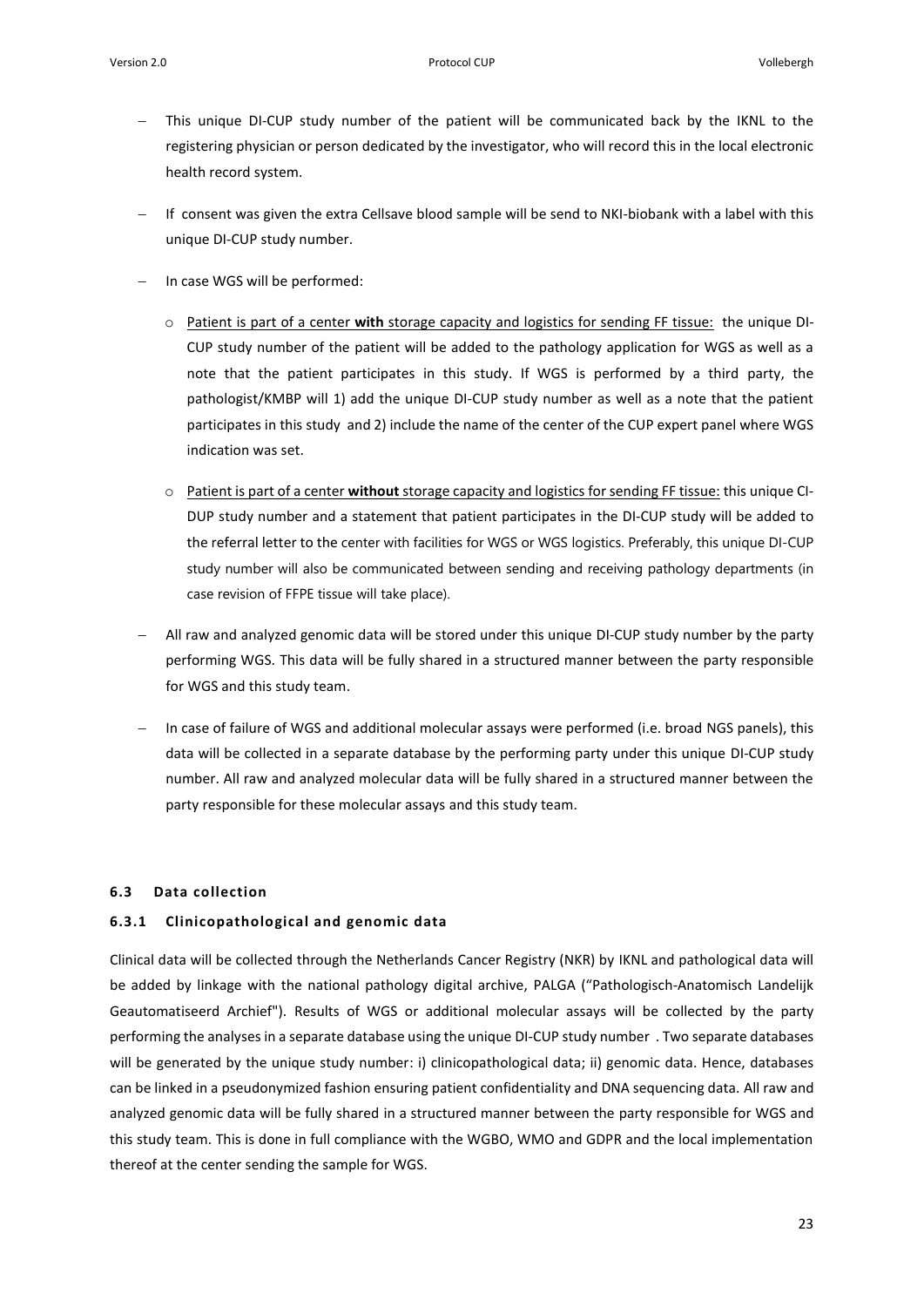- This unique DI-CUP study number of the patient will be communicated back by the IKNL to the registering physician or person dedicated by the investigator, who will record this in the local electronic health record system.
- − If consent was given the extra Cellsave blood sample will be send to NKI-biobank with a label with this unique DI-CUP study number.
- − In case WGS will be performed:
	- o Patient is part of a center **with** storage capacity and logistics for sending FF tissue: the unique DI-CUP study number of the patient will be added to the pathology application for WGS as well as a note that the patient participates in this study. If WGS is performed by a third party, the pathologist/KMBP will 1) add the unique DI-CUP study number as well as a note that the patient participates in this study and 2) include the name of the center of the CUP expert panel where WGS indication was set.
	- o Patient is part of a center **without** storage capacity and logistics for sending FF tissue: this unique CI-DUP study number and a statement that patient participates in the DI-CUP study will be added to the referral letter to the center with facilities for WGS or WGS logistics. Preferably, this unique DI-CUP study number will also be communicated between sending and receiving pathology departments (in case revision of FFPE tissue will take place).
- − All raw and analyzed genomic data will be stored under this unique DI-CUP study number by the party performing WGS. This data will be fully shared in a structured manner between the party responsible for WGS and this study team.
- − In case of failure of WGS and additional molecular assays were performed (i.e. broad NGS panels), this data will be collected in a separate database by the performing party under this unique DI-CUP study number. All raw and analyzed molecular data will be fully shared in a structured manner between the party responsible for these molecular assays and this study team.

## <span id="page-22-0"></span>**6.3 Data collection**

## <span id="page-22-1"></span>**6.3.1 Clinicopathological and genomic data**

Clinical data will be collected through the Netherlands Cancer Registry (NKR) by IKNL and pathological data will be added by linkage with the national pathology digital archive, PALGA ("Pathologisch-Anatomisch Landelijk Geautomatiseerd Archief"). Results of WGS or additional molecular assays will be collected by the party performing the analyses in a separate database using the unique DI-CUP study number . Two separate databases will be generated by the unique study number: i) clinicopathological data; ii) genomic data. Hence, databases can be linked in a pseudonymized fashion ensuring patient confidentiality and DNA sequencing data. All raw and analyzed genomic data will be fully shared in a structured manner between the party responsible for WGS and this study team. This is done in full compliance with the WGBO, WMO and GDPR and the local implementation thereof at the center sending the sample for WGS.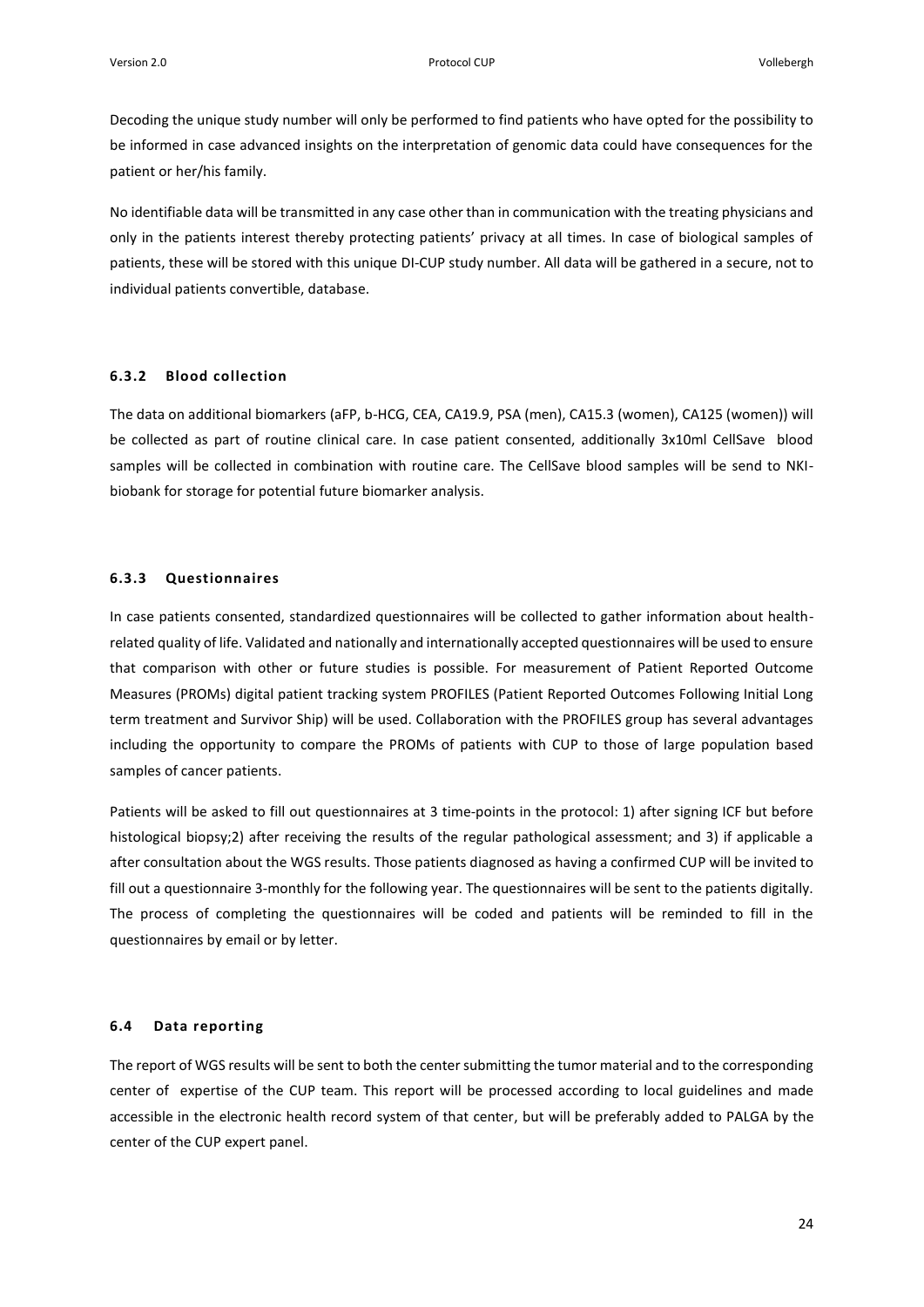Decoding the unique study number will only be performed to find patients who have opted for the possibility to be informed in case advanced insights on the interpretation of genomic data could have consequences for the patient or her/his family.

No identifiable data will be transmitted in any case other than in communication with the treating physicians and only in the patients interest thereby protecting patients' privacy at all times. In case of biological samples of patients, these will be stored with this unique DI-CUP study number. All data will be gathered in a secure, not to individual patients convertible, database.

#### <span id="page-23-0"></span>**6.3.2 Blood collection**

The data on additional biomarkers (aFP, b-HCG, CEA, CA19.9, PSA (men), CA15.3 (women), CA125 (women)) will be collected as part of routine clinical care. In case patient consented, additionally 3x10ml CellSave blood samples will be collected in combination with routine care. The CellSave blood samples will be send to NKIbiobank for storage for potential future biomarker analysis.

#### <span id="page-23-1"></span>**6.3.3 Questionnaires**

In case patients consented, standardized questionnaires will be collected to gather information about healthrelated quality of life. Validated and nationally and internationally accepted questionnaires will be used to ensure that comparison with other or future studies is possible. For measurement of Patient Reported Outcome Measures (PROMs) digital patient tracking system PROFILES (Patient Reported Outcomes Following Initial Long term treatment and Survivor Ship) will be used. Collaboration with the PROFILES group has several advantages including the opportunity to compare the PROMs of patients with CUP to those of large population based samples of cancer patients.

Patients will be asked to fill out questionnaires at 3 time-points in the protocol: 1) after signing ICF but before histological biopsy;2) after receiving the results of the regular pathological assessment; and 3) if applicable a after consultation about the WGS results. Those patients diagnosed as having a confirmed CUP will be invited to fill out a questionnaire 3-monthly for the following year. The questionnaires will be sent to the patients digitally. The process of completing the questionnaires will be coded and patients will be reminded to fill in the questionnaires by email or by letter.

#### <span id="page-23-2"></span>**6.4 Data reporting**

The report of WGS results will be sent to both the center submitting the tumor material and to the corresponding center of expertise of the CUP team. This report will be processed according to local guidelines and made accessible in the electronic health record system of that center, but will be preferably added to PALGA by the center of the CUP expert panel.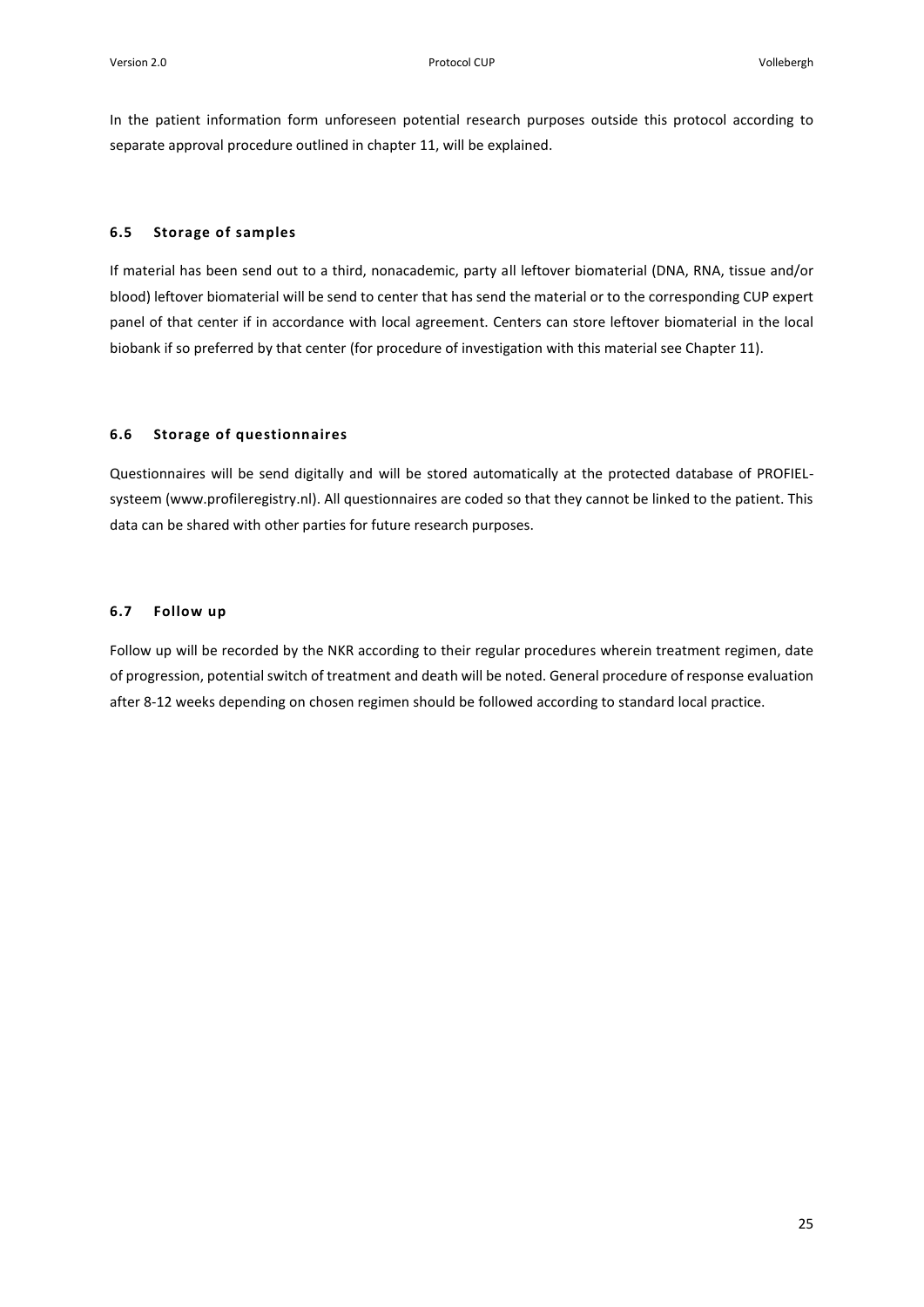In the patient information form unforeseen potential research purposes outside this protocol according to separate approval procedure outlined in chapter 11, will be explained.

#### <span id="page-24-0"></span>**6.5 Storage of samples**

If material has been send out to a third, nonacademic, party all leftover biomaterial (DNA, RNA, tissue and/or blood) leftover biomaterial will be send to center that has send the material or to the corresponding CUP expert panel of that center if in accordance with local agreement. Centers can store leftover biomaterial in the local biobank if so preferred by that center (for procedure of investigation with this material see Chapter 11).

#### <span id="page-24-1"></span>**6.6 Storage of questionnaires**

Questionnaires will be send digitally and will be stored automatically at the protected database of PROFIELsysteem (www.profileregistry.nl). All questionnaires are coded so that they cannot be linked to the patient. This data can be shared with other parties for future research purposes.

#### <span id="page-24-2"></span>**6.7 Follow up**

Follow up will be recorded by the NKR according to their regular procedures wherein treatment regimen, date of progression, potential switch of treatment and death will be noted. General procedure of response evaluation after 8-12 weeks depending on chosen regimen should be followed according to standard local practice.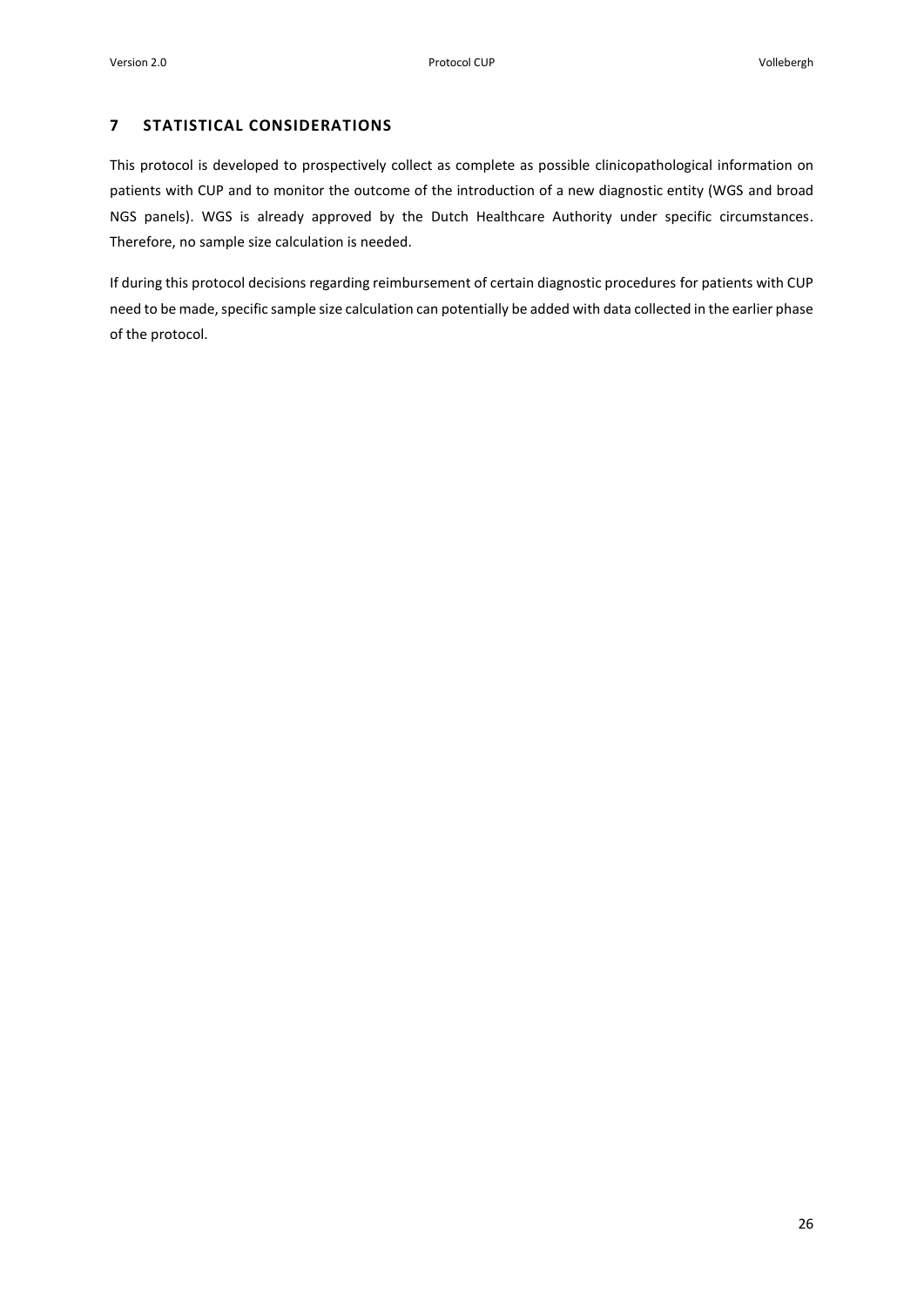# <span id="page-25-0"></span>**7 STATISTICAL CONSIDERATIONS**

This protocol is developed to prospectively collect as complete as possible clinicopathological information on patients with CUP and to monitor the outcome of the introduction of a new diagnostic entity (WGS and broad NGS panels). WGS is already approved by the Dutch Healthcare Authority under specific circumstances. Therefore, no sample size calculation is needed.

If during this protocol decisions regarding reimbursement of certain diagnostic procedures for patients with CUP need to be made, specific sample size calculation can potentially be added with data collected in the earlier phase of the protocol.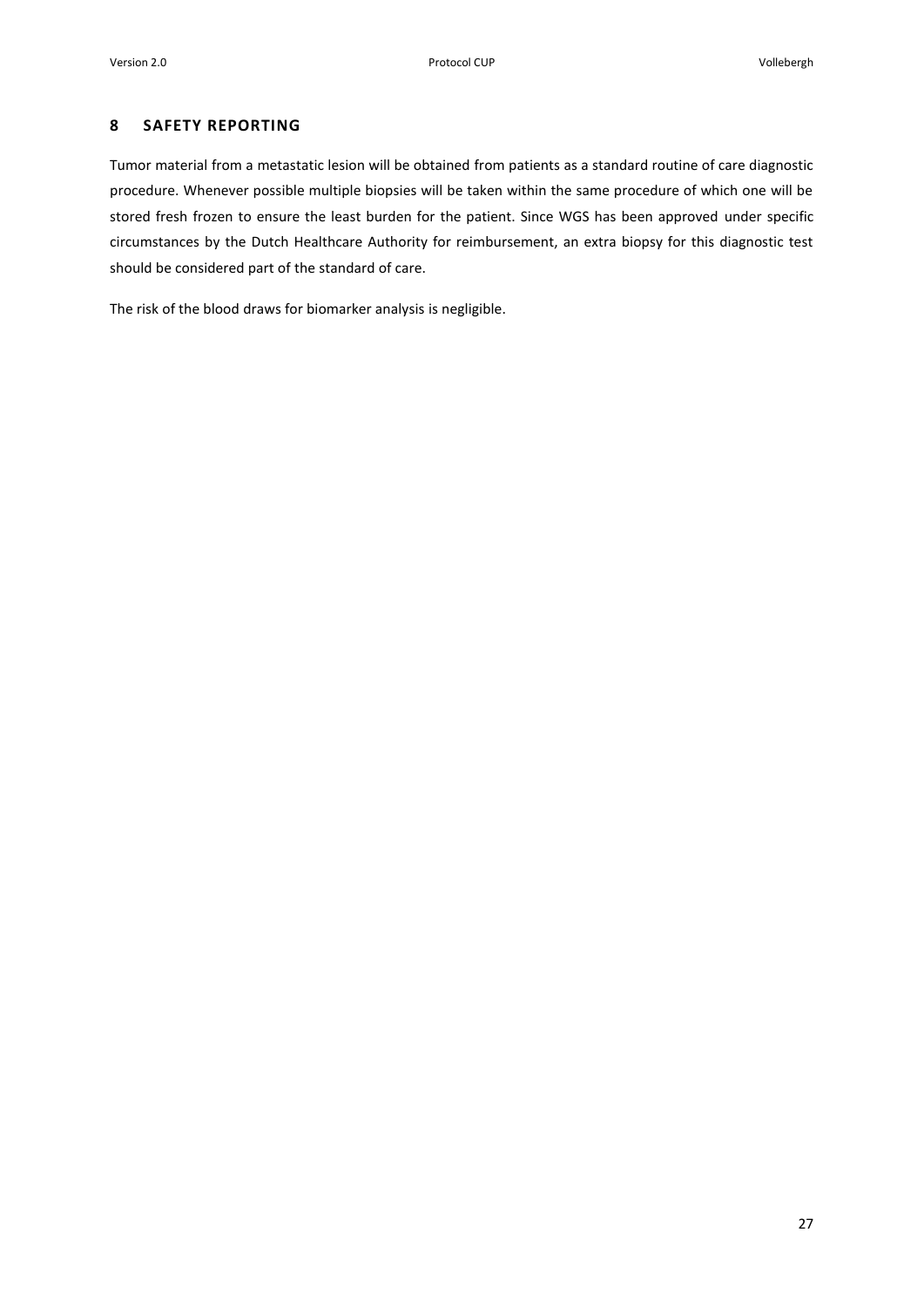## <span id="page-26-0"></span>**8 SAFETY REPORTING**

Tumor material from a metastatic lesion will be obtained from patients as a standard routine of care diagnostic procedure. Whenever possible multiple biopsies will be taken within the same procedure of which one will be stored fresh frozen to ensure the least burden for the patient. Since WGS has been approved under specific circumstances by the Dutch Healthcare Authority for reimbursement, an extra biopsy for this diagnostic test should be considered part of the standard of care.

The risk of the blood draws for biomarker analysis is negligible.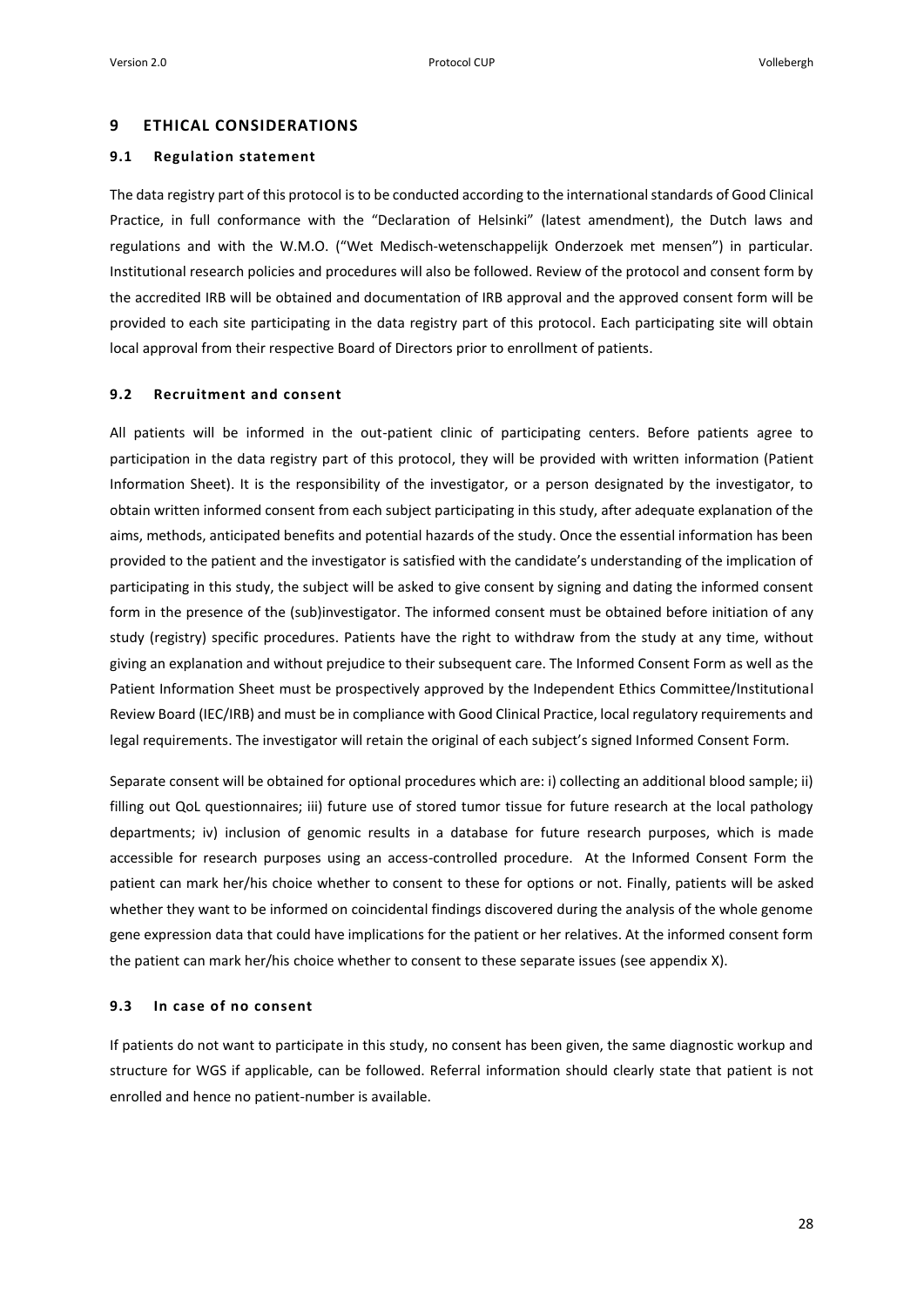#### <span id="page-27-0"></span>**9 ETHICAL CONSIDERATIONS**

#### <span id="page-27-1"></span>**9.1 Regulation statement**

The data registry part of this protocol is to be conducted according to the international standards of Good Clinical Practice, in full conformance with the "Declaration of Helsinki" (latest amendment), the Dutch laws and regulations and with the W.M.O. ("Wet Medisch-wetenschappelijk Onderzoek met mensen") in particular. Institutional research policies and procedures will also be followed. Review of the protocol and consent form by the accredited IRB will be obtained and documentation of IRB approval and the approved consent form will be provided to each site participating in the data registry part of this protocol. Each participating site will obtain local approval from their respective Board of Directors prior to enrollment of patients.

#### <span id="page-27-2"></span>**9.2 Recruitment and consent**

All patients will be informed in the out-patient clinic of participating centers. Before patients agree to participation in the data registry part of this protocol, they will be provided with written information (Patient Information Sheet). It is the responsibility of the investigator, or a person designated by the investigator, to obtain written informed consent from each subject participating in this study, after adequate explanation of the aims, methods, anticipated benefits and potential hazards of the study. Once the essential information has been provided to the patient and the investigator is satisfied with the candidate's understanding of the implication of participating in this study, the subject will be asked to give consent by signing and dating the informed consent form in the presence of the (sub)investigator. The informed consent must be obtained before initiation of any study (registry) specific procedures. Patients have the right to withdraw from the study at any time, without giving an explanation and without prejudice to their subsequent care. The Informed Consent Form as well as the Patient Information Sheet must be prospectively approved by the Independent Ethics Committee/Institutional Review Board (IEC/IRB) and must be in compliance with Good Clinical Practice, local regulatory requirements and legal requirements. The investigator will retain the original of each subject's signed Informed Consent Form.

Separate consent will be obtained for optional procedures which are: i) collecting an additional blood sample; ii) filling out QoL questionnaires; iii) future use of stored tumor tissue for future research at the local pathology departments; iv) inclusion of genomic results in a database for future research purposes, which is made accessible for research purposes using an access-controlled procedure. At the Informed Consent Form the patient can mark her/his choice whether to consent to these for options or not. Finally, patients will be asked whether they want to be informed on coincidental findings discovered during the analysis of the whole genome gene expression data that could have implications for the patient or her relatives. At the informed consent form the patient can mark her/his choice whether to consent to these separate issues (see appendix X).

#### <span id="page-27-3"></span>**9.3 In case of no consent**

If patients do not want to participate in this study, no consent has been given, the same diagnostic workup and structure for WGS if applicable, can be followed. Referral information should clearly state that patient is not enrolled and hence no patient-number is available.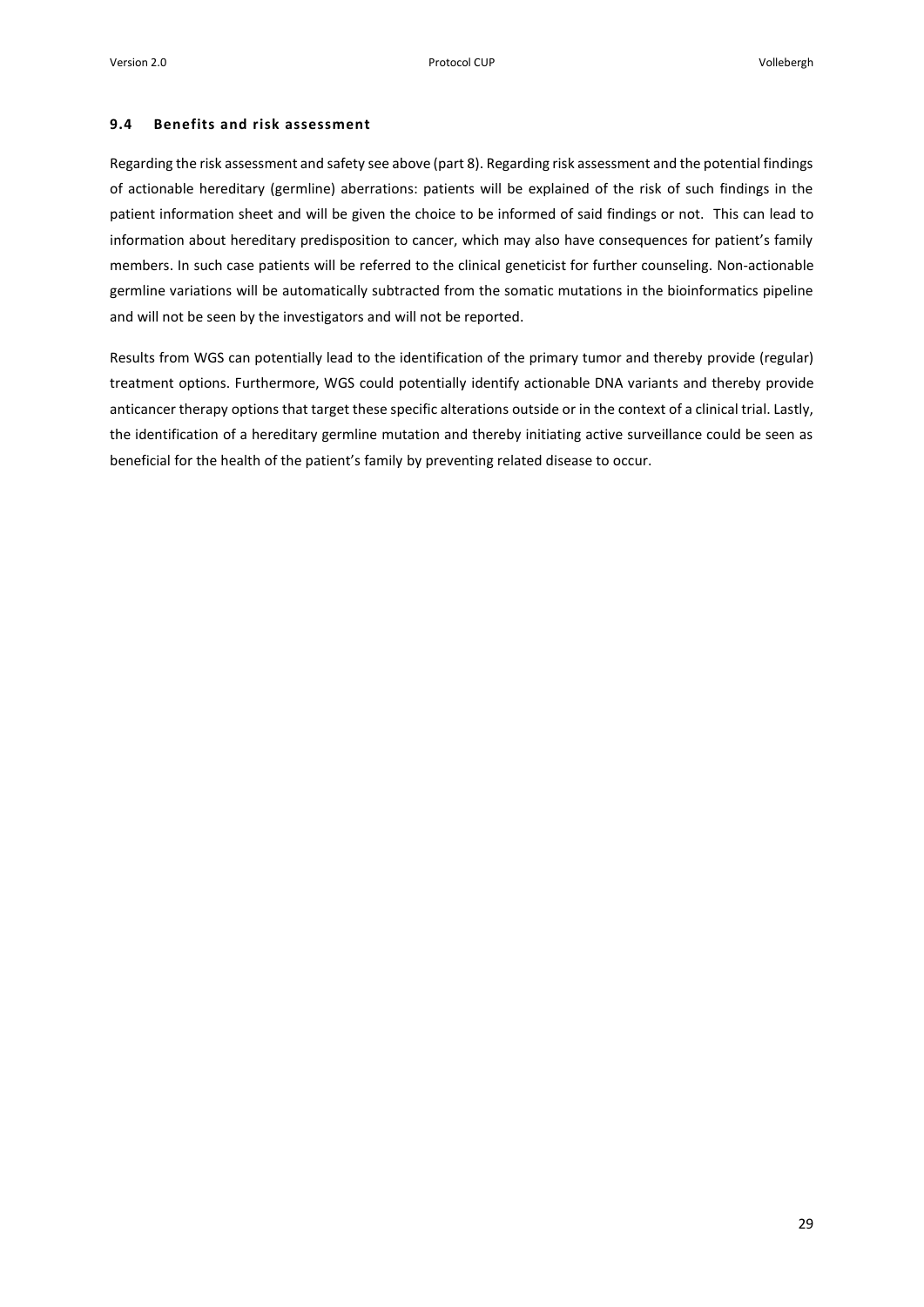#### <span id="page-28-0"></span>**9.4 Benefits and risk assessment**

Regarding the risk assessment and safety see above (part 8). Regarding risk assessment and the potential findings of actionable hereditary (germline) aberrations: patients will be explained of the risk of such findings in the patient information sheet and will be given the choice to be informed of said findings or not. This can lead to information about hereditary predisposition to cancer, which may also have consequences for patient's family members. In such case patients will be referred to the clinical geneticist for further counseling. Non-actionable germline variations will be automatically subtracted from the somatic mutations in the bioinformatics pipeline and will not be seen by the investigators and will not be reported.

Results from WGS can potentially lead to the identification of the primary tumor and thereby provide (regular) treatment options. Furthermore, WGS could potentially identify actionable DNA variants and thereby provide anticancer therapy options that target these specific alterations outside or in the context of a clinical trial. Lastly, the identification of a hereditary germline mutation and thereby initiating active surveillance could be seen as beneficial for the health of the patient's family by preventing related disease to occur.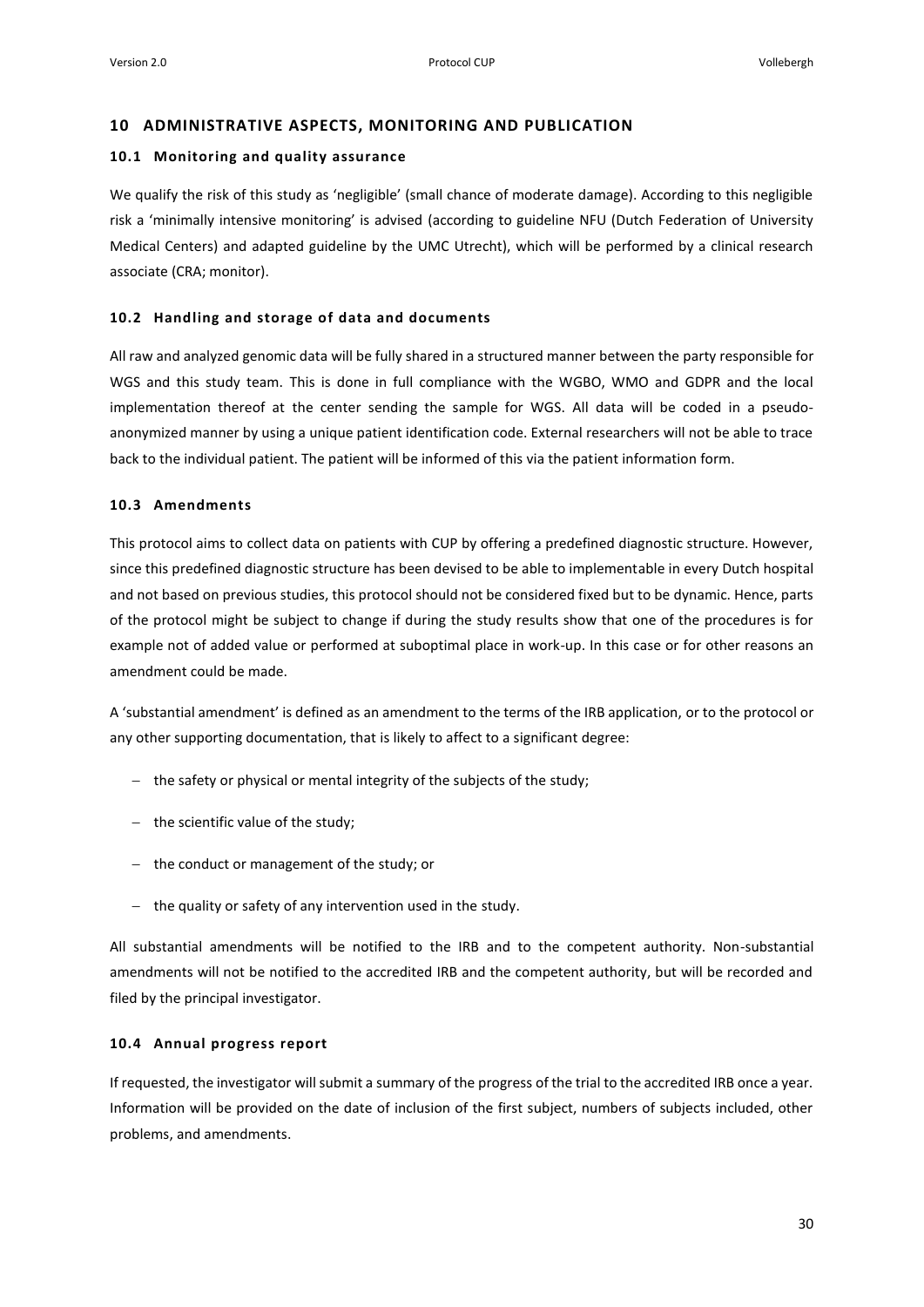## <span id="page-29-0"></span>**10 ADMINISTRATIVE ASPECTS, MONITORING AND PUBLICATION**

#### <span id="page-29-1"></span>**10.1 Monitoring and quality assurance**

We qualify the risk of this study as 'negligible' (small chance of moderate damage). According to this negligible risk a 'minimally intensive monitoring' is advised (according to guideline NFU (Dutch Federation of University Medical Centers) and adapted guideline by the UMC Utrecht), which will be performed by a clinical research associate (CRA; monitor).

#### <span id="page-29-2"></span>**10.2 Handling and storage of data and documents**

All raw and analyzed genomic data will be fully shared in a structured manner between the party responsible for WGS and this study team. This is done in full compliance with the WGBO, WMO and GDPR and the local implementation thereof at the center sending the sample for WGS. All data will be coded in a pseudoanonymized manner by using a unique patient identification code. External researchers will not be able to trace back to the individual patient. The patient will be informed of this via the patient information form.

#### <span id="page-29-3"></span>**10.3 Amendments**

This protocol aims to collect data on patients with CUP by offering a predefined diagnostic structure. However, since this predefined diagnostic structure has been devised to be able to implementable in every Dutch hospital and not based on previous studies, this protocol should not be considered fixed but to be dynamic. Hence, parts of the protocol might be subject to change if during the study results show that one of the procedures is for example not of added value or performed at suboptimal place in work-up. In this case or for other reasons an amendment could be made.

A 'substantial amendment' is defined as an amendment to the terms of the IRB application, or to the protocol or any other supporting documentation, that is likely to affect to a significant degree:

- − the safety or physical or mental integrity of the subjects of the study;
- − the scientific value of the study;
- − the conduct or management of the study; or
- − the quality or safety of any intervention used in the study.

All substantial amendments will be notified to the IRB and to the competent authority. Non-substantial amendments will not be notified to the accredited IRB and the competent authority, but will be recorded and filed by the principal investigator.

## <span id="page-29-4"></span>**10.4 Annual progress report**

If requested, the investigator will submit a summary of the progress of the trial to the accredited IRB once a year. Information will be provided on the date of inclusion of the first subject, numbers of subjects included, other problems, and amendments.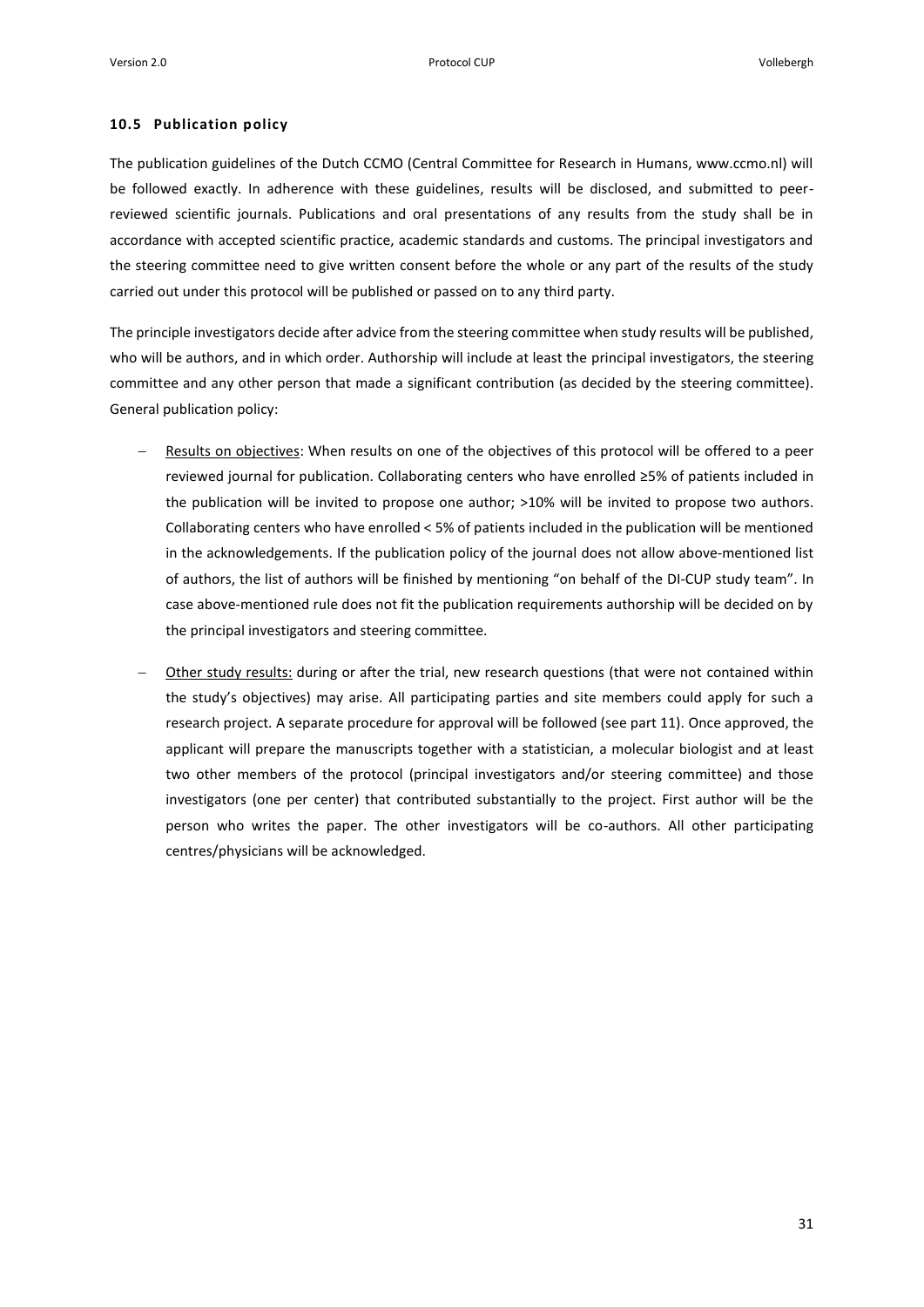#### <span id="page-30-0"></span>**10.5 Publication policy**

The publication guidelines of the Dutch CCMO (Central Committee for Research in Humans, www.ccmo.nl) will be followed exactly. In adherence with these guidelines, results will be disclosed, and submitted to peerreviewed scientific journals. Publications and oral presentations of any results from the study shall be in accordance with accepted scientific practice, academic standards and customs. The principal investigators and the steering committee need to give written consent before the whole or any part of the results of the study carried out under this protocol will be published or passed on to any third party.

The principle investigators decide after advice from the steering committee when study results will be published, who will be authors, and in which order. Authorship will include at least the principal investigators, the steering committee and any other person that made a significant contribution (as decided by the steering committee). General publication policy:

- Results on objectives: When results on one of the objectives of this protocol will be offered to a peer reviewed journal for publication. Collaborating centers who have enrolled ≥5% of patients included in the publication will be invited to propose one author; >10% will be invited to propose two authors. Collaborating centers who have enrolled < 5% of patients included in the publication will be mentioned in the acknowledgements. If the publication policy of the journal does not allow above-mentioned list of authors, the list of authors will be finished by mentioning "on behalf of the DI-CUP study team". In case above-mentioned rule does not fit the publication requirements authorship will be decided on by the principal investigators and steering committee.
- Other study results: during or after the trial, new research questions (that were not contained within the study's objectives) may arise. All participating parties and site members could apply for such a research project. A separate procedure for approval will be followed (see part 11). Once approved, the applicant will prepare the manuscripts together with a statistician, a molecular biologist and at least two other members of the protocol (principal investigators and/or steering committee) and those investigators (one per center) that contributed substantially to the project. First author will be the person who writes the paper. The other investigators will be co-authors. All other participating centres/physicians will be acknowledged.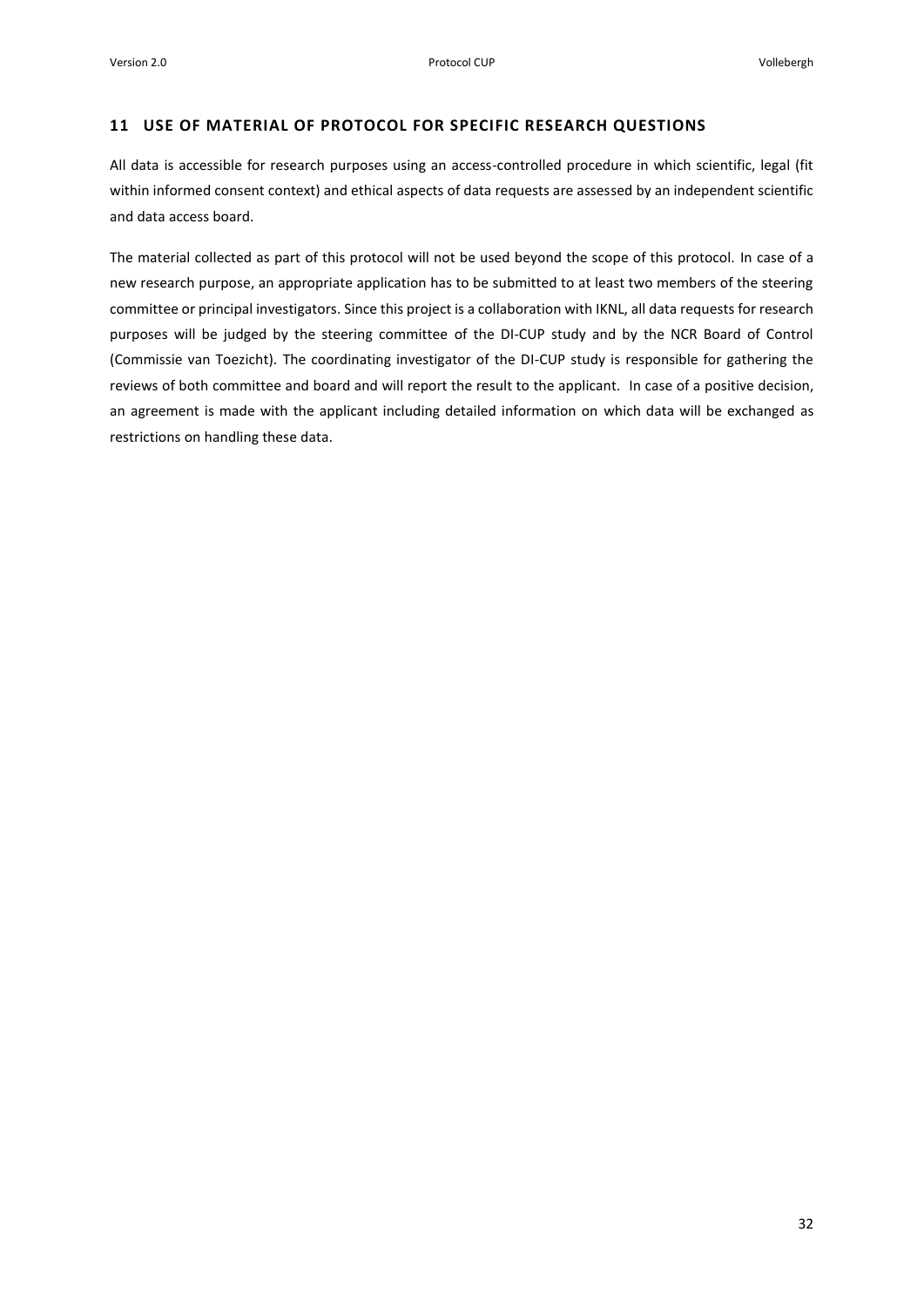## <span id="page-31-0"></span>**11 USE OF MATERIAL OF PROTOCOL FOR SPECIFIC RESEARCH QUESTIONS**

All data is accessible for research purposes using an access-controlled procedure in which scientific, legal (fit within informed consent context) and ethical aspects of data requests are assessed by an independent scientific and data access board.

The material collected as part of this protocol will not be used beyond the scope of this protocol. In case of a new research purpose, an appropriate application has to be submitted to at least two members of the steering committee or principal investigators. Since this project is a collaboration with IKNL, all data requests for research purposes will be judged by the steering committee of the DI-CUP study and by the NCR Board of Control (Commissie van Toezicht). The coordinating investigator of the DI-CUP study is responsible for gathering the reviews of both committee and board and will report the result to the applicant. In case of a positive decision, an agreement is made with the applicant including detailed information on which data will be exchanged as restrictions on handling these data.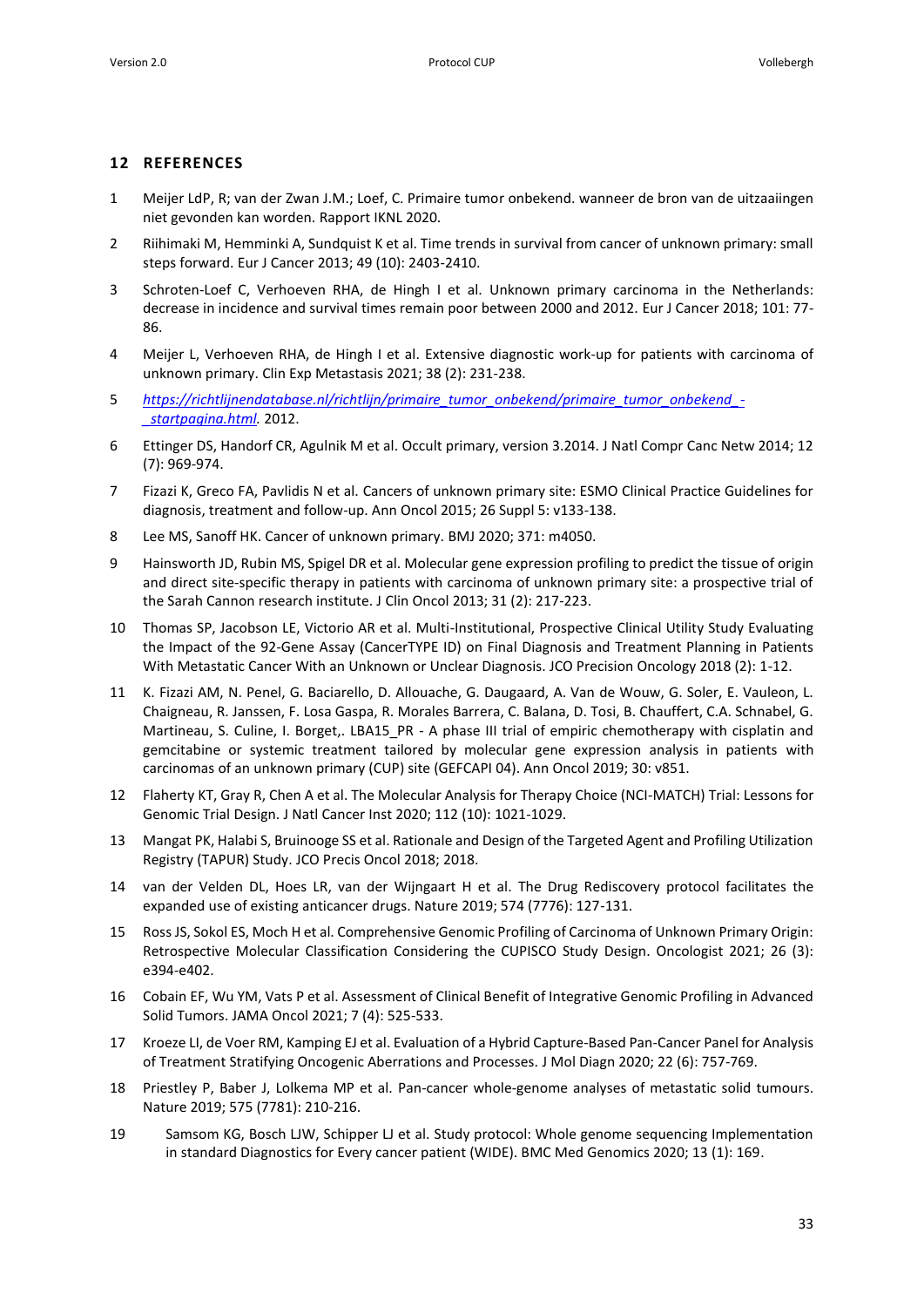## <span id="page-32-0"></span>**12 REFERENCES**

- 1 Meijer LdP, R; van der Zwan J.M.; Loef, C. Primaire tumor onbekend. wanneer de bron van de uitzaaiingen niet gevonden kan worden. Rapport IKNL 2020.
- 2 Riihimaki M, Hemminki A, Sundquist K et al. Time trends in survival from cancer of unknown primary: small steps forward. Eur J Cancer 2013; 49 (10): 2403-2410.
- 3 Schroten-Loef C, Verhoeven RHA, de Hingh I et al. Unknown primary carcinoma in the Netherlands: decrease in incidence and survival times remain poor between 2000 and 2012. Eur J Cancer 2018; 101: 77- 86.
- 4 Meijer L, Verhoeven RHA, de Hingh I et al. Extensive diagnostic work-up for patients with carcinoma of unknown primary. Clin Exp Metastasis 2021; 38 (2): 231-238.
- 5 *[https://richtlijnendatabase.nl/richtlijn/primaire\\_tumor\\_onbekend/primaire\\_tumor\\_onbekend\\_-](https://richtlijnendatabase.nl/richtlijn/primaire_tumor_onbekend/primaire_tumor_onbekend_-_startpagina.html) [\\_startpagina.html.](https://richtlijnendatabase.nl/richtlijn/primaire_tumor_onbekend/primaire_tumor_onbekend_-_startpagina.html)* 2012.
- 6 Ettinger DS, Handorf CR, Agulnik M et al. Occult primary, version 3.2014. J Natl Compr Canc Netw 2014; 12 (7): 969-974.
- 7 Fizazi K, Greco FA, Pavlidis N et al. Cancers of unknown primary site: ESMO Clinical Practice Guidelines for diagnosis, treatment and follow-up. Ann Oncol 2015; 26 Suppl 5: v133-138.
- 8 Lee MS, Sanoff HK. Cancer of unknown primary. BMJ 2020; 371: m4050.
- 9 Hainsworth JD, Rubin MS, Spigel DR et al. Molecular gene expression profiling to predict the tissue of origin and direct site-specific therapy in patients with carcinoma of unknown primary site: a prospective trial of the Sarah Cannon research institute. J Clin Oncol 2013; 31 (2): 217-223.
- 10 Thomas SP, Jacobson LE, Victorio AR et al. Multi-Institutional, Prospective Clinical Utility Study Evaluating the Impact of the 92-Gene Assay (CancerTYPE ID) on Final Diagnosis and Treatment Planning in Patients With Metastatic Cancer With an Unknown or Unclear Diagnosis. JCO Precision Oncology 2018 (2): 1-12.
- 11 K. Fizazi AM, N. Penel, G. Baciarello, D. Allouache, G. Daugaard, A. Van de Wouw, G. Soler, E. Vauleon, L. Chaigneau, R. Janssen, F. Losa Gaspa, R. Morales Barrera, C. Balana, D. Tosi, B. Chauffert, C.A. Schnabel, G. Martineau, S. Culine, I. Borget,. LBA15 PR - A phase III trial of empiric chemotherapy with cisplatin and gemcitabine or systemic treatment tailored by molecular gene expression analysis in patients with carcinomas of an unknown primary (CUP) site (GEFCAPI 04). Ann Oncol 2019; 30: v851.
- 12 Flaherty KT, Gray R, Chen A et al. The Molecular Analysis for Therapy Choice (NCI-MATCH) Trial: Lessons for Genomic Trial Design. J Natl Cancer Inst 2020; 112 (10): 1021-1029.
- 13 Mangat PK, Halabi S, Bruinooge SS et al. Rationale and Design of the Targeted Agent and Profiling Utilization Registry (TAPUR) Study. JCO Precis Oncol 2018; 2018.
- 14 van der Velden DL, Hoes LR, van der Wijngaart H et al. The Drug Rediscovery protocol facilitates the expanded use of existing anticancer drugs. Nature 2019; 574 (7776): 127-131.
- 15 Ross JS, Sokol ES, Moch H et al. Comprehensive Genomic Profiling of Carcinoma of Unknown Primary Origin: Retrospective Molecular Classification Considering the CUPISCO Study Design. Oncologist 2021; 26 (3): e394-e402.
- 16 Cobain EF, Wu YM, Vats P et al. Assessment of Clinical Benefit of Integrative Genomic Profiling in Advanced Solid Tumors. JAMA Oncol 2021; 7 (4): 525-533.
- 17 Kroeze LI, de Voer RM, Kamping EJ et al. Evaluation of a Hybrid Capture-Based Pan-Cancer Panel for Analysis of Treatment Stratifying Oncogenic Aberrations and Processes. J Mol Diagn 2020; 22 (6): 757-769.
- 18 Priestley P, Baber J, Lolkema MP et al. Pan-cancer whole-genome analyses of metastatic solid tumours. Nature 2019; 575 (7781): 210-216.
- 19 Samsom KG, Bosch LJW, Schipper LJ et al. Study protocol: Whole genome sequencing Implementation in standard Diagnostics for Every cancer patient (WIDE). BMC Med Genomics 2020; 13 (1): 169.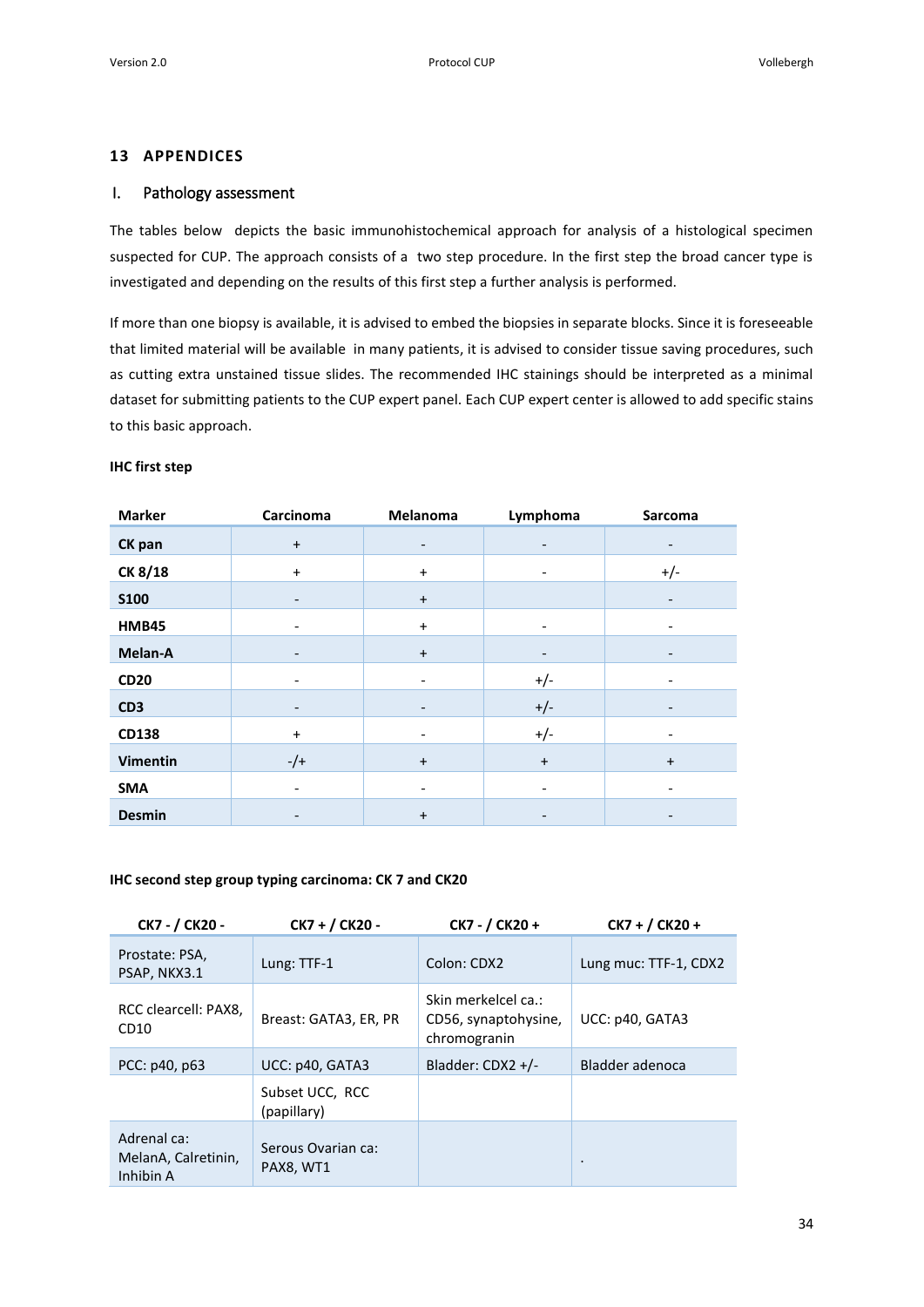#### <span id="page-33-0"></span>**13 APPENDICES**

## I. Pathology assessment

The tables below depicts the basic immunohistochemical approach for analysis of a histological specimen suspected for CUP. The approach consists of a two step procedure. In the first step the broad cancer type is investigated and depending on the results of this first step a further analysis is performed.

If more than one biopsy is available, it is advised to embed the biopsies in separate blocks. Since it is foreseeable that limited material will be available in many patients, it is advised to consider tissue saving procedures, such as cutting extra unstained tissue slides. The recommended IHC stainings should be interpreted as a minimal dataset for submitting patients to the CUP expert panel. Each CUP expert center is allowed to add specific stains to this basic approach.

## **IHC first step**

| <b>Marker</b>   | Carcinoma                    | Melanoma                 | Lymphoma  | Sarcoma   |
|-----------------|------------------------------|--------------------------|-----------|-----------|
| CK pan          | $\ddot{}$                    | $\overline{\phantom{a}}$ |           |           |
| CK 8/18         | $\ddot{}$                    | $\ddot{}$                |           | $+/-$     |
| <b>S100</b>     | $\qquad \qquad \blacksquare$ | $\ddot{}$                |           |           |
| <b>HMB45</b>    |                              | $+$                      |           |           |
| Melan-A         |                              | $\ddot{}$                |           |           |
| <b>CD20</b>     |                              |                          | $+/-$     |           |
| CD <sub>3</sub> |                              |                          | $+/-$     |           |
| <b>CD138</b>    | $\ddot{}$                    |                          | $+/-$     |           |
| <b>Vimentin</b> | $-/-$                        | $\ddot{}$                | $\ddot{}$ | $\ddot{}$ |
| <b>SMA</b>      |                              |                          |           |           |
| <b>Desmin</b>   |                              | $\ddot{}$                |           |           |

#### **IHC second step group typing carcinoma: CK 7 and CK20**

| CK7 - / CK20 -                                  | CK7 + / CK20 -                  | CK7 - / CK20 +                                              | $CK7 + / CK20 +$      |
|-------------------------------------------------|---------------------------------|-------------------------------------------------------------|-----------------------|
| Prostate: PSA,<br>PSAP, NKX3.1                  | Lung: TTF-1                     | Colon: CDX2                                                 | Lung muc: TTF-1, CDX2 |
| RCC clearcell: PAX8,<br>CD10                    | Breast: GATA3, ER, PR           | Skin merkelcel ca.:<br>CD56, synaptohysine,<br>chromogranin | UCC: p40, GATA3       |
| PCC: p40, p63                                   | UCC: p40, GATA3                 | Bladder: $CDX2 +/-$                                         | Bladder adenoca       |
|                                                 | Subset UCC, RCC<br>(papillary)  |                                                             |                       |
| Adrenal ca:<br>MelanA, Calretinin,<br>Inhibin A | Serous Ovarian ca:<br>PAX8, WT1 |                                                             | ٠                     |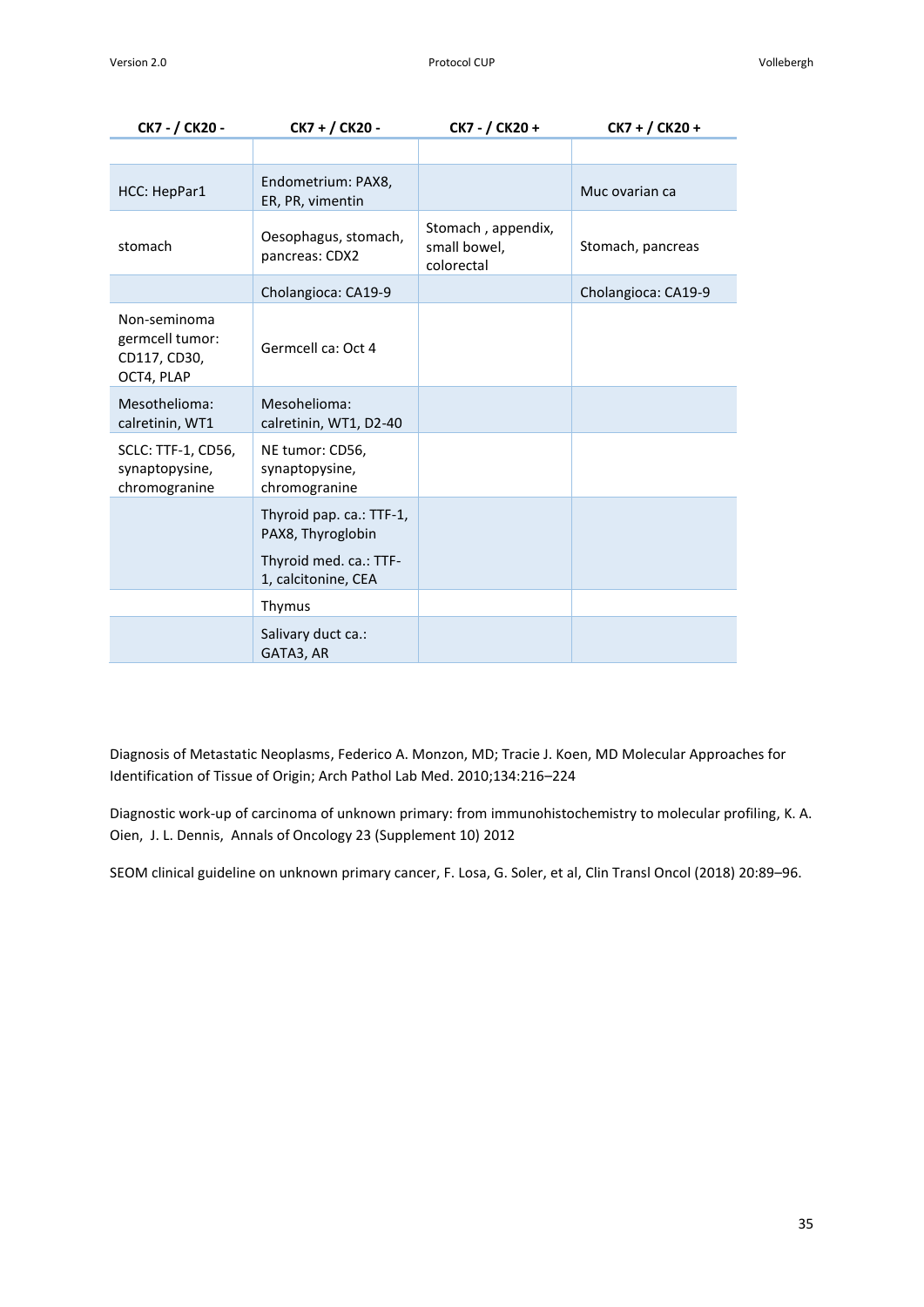| CK7 - / CK20 -                                                | CK7 + / CK20 -                                     | CK7 - / CK20 +                                   | $CK7 + / CK20 +$    |
|---------------------------------------------------------------|----------------------------------------------------|--------------------------------------------------|---------------------|
|                                                               |                                                    |                                                  |                     |
| HCC: HepPar1                                                  | Endometrium: PAX8,<br>ER, PR, vimentin             |                                                  | Muc ovarian ca      |
| stomach                                                       | Oesophagus, stomach,<br>pancreas: CDX2             | Stomach, appendix,<br>small bowel,<br>colorectal | Stomach, pancreas   |
|                                                               | Cholangioca: CA19-9                                |                                                  | Cholangioca: CA19-9 |
| Non-seminoma<br>germcell tumor:<br>CD117, CD30,<br>OCT4, PLAP | Germcell ca: Oct 4                                 |                                                  |                     |
| Mesothelioma:<br>calretinin, WT1                              | Mesohelioma:<br>calretinin, WT1, D2-40             |                                                  |                     |
| SCLC: TTF-1, CD56,<br>synaptopysine,<br>chromogranine         | NE tumor: CD56,<br>synaptopysine,<br>chromogranine |                                                  |                     |
|                                                               | Thyroid pap. ca.: TTF-1,<br>PAX8, Thyroglobin      |                                                  |                     |
|                                                               | Thyroid med. ca.: TTF-<br>1, calcitonine, CEA      |                                                  |                     |
|                                                               | Thymus                                             |                                                  |                     |
|                                                               | Salivary duct ca.:<br>GATA3, AR                    |                                                  |                     |

Diagnosis of Metastatic Neoplasms, Federico A. Monzon, MD; Tracie J. Koen, MD Molecular Approaches for Identification of Tissue of Origin; Arch Pathol Lab Med. 2010;134:216–224

Diagnostic work-up of carcinoma of unknown primary: from immunohistochemistry to molecular profiling, K. A. Oien, J. L. Dennis, Annals of Oncology 23 (Supplement 10) 2012

SEOM clinical guideline on unknown primary cancer, F. Losa, G. Soler, et al, Clin Transl Oncol (2018) 20:89–96.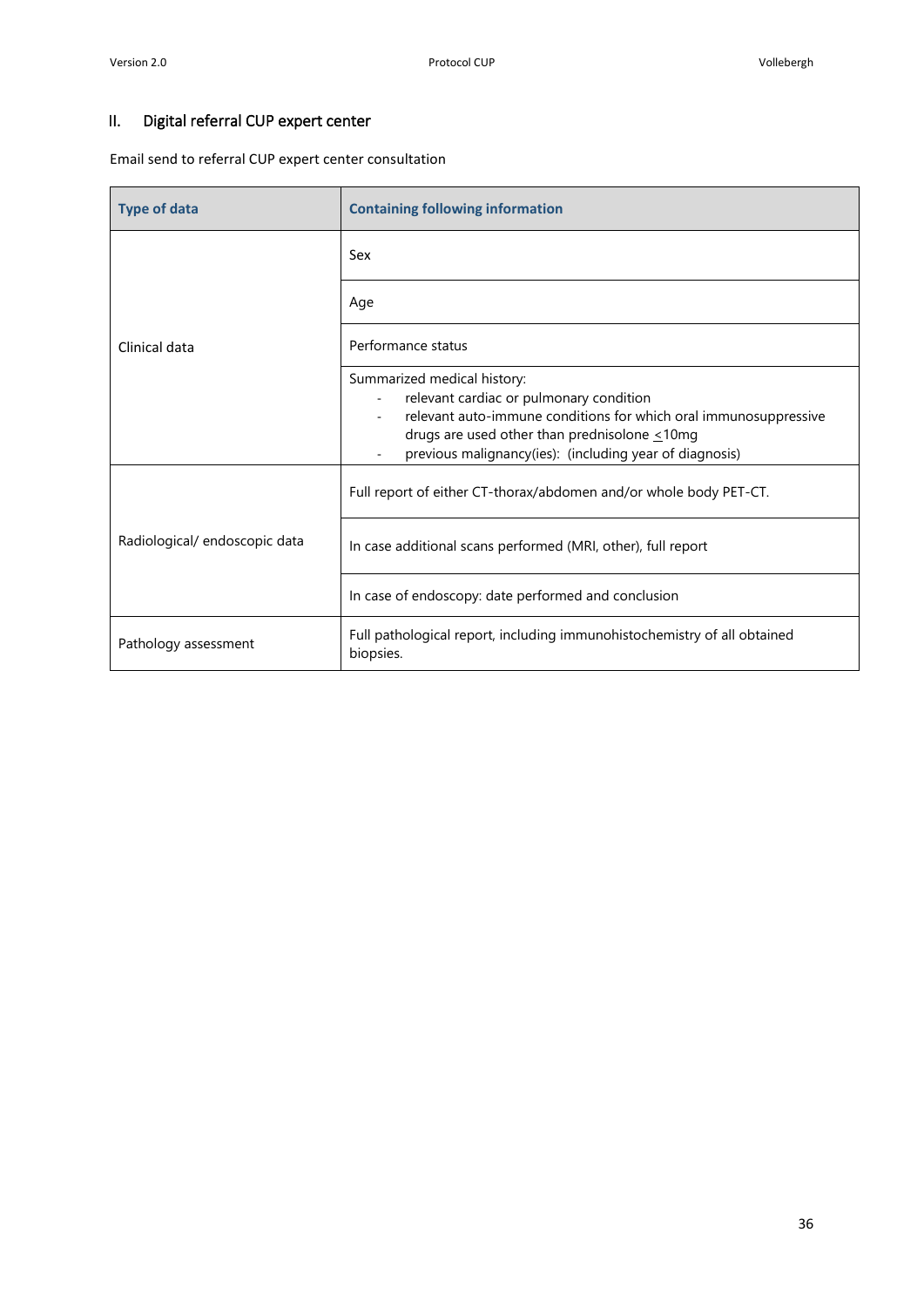# II. Digital referral CUP expert center

Email send to referral CUP expert center consultation

| <b>Type of data</b>           | <b>Containing following information</b>                                                                                                                                                                                                                      |  |
|-------------------------------|--------------------------------------------------------------------------------------------------------------------------------------------------------------------------------------------------------------------------------------------------------------|--|
|                               | Sex                                                                                                                                                                                                                                                          |  |
|                               | Age                                                                                                                                                                                                                                                          |  |
| Clinical data                 | Performance status                                                                                                                                                                                                                                           |  |
|                               | Summarized medical history:<br>relevant cardiac or pulmonary condition<br>relevant auto-immune conditions for which oral immunosuppressive<br>drugs are used other than prednisolone $\leq 10$ mg<br>previous malignancy(ies): (including year of diagnosis) |  |
|                               | Full report of either CT-thorax/abdomen and/or whole body PET-CT.                                                                                                                                                                                            |  |
| Radiological/ endoscopic data | In case additional scans performed (MRI, other), full report                                                                                                                                                                                                 |  |
|                               | In case of endoscopy: date performed and conclusion                                                                                                                                                                                                          |  |
| Pathology assessment          | Full pathological report, including immunohistochemistry of all obtained<br>biopsies.                                                                                                                                                                        |  |